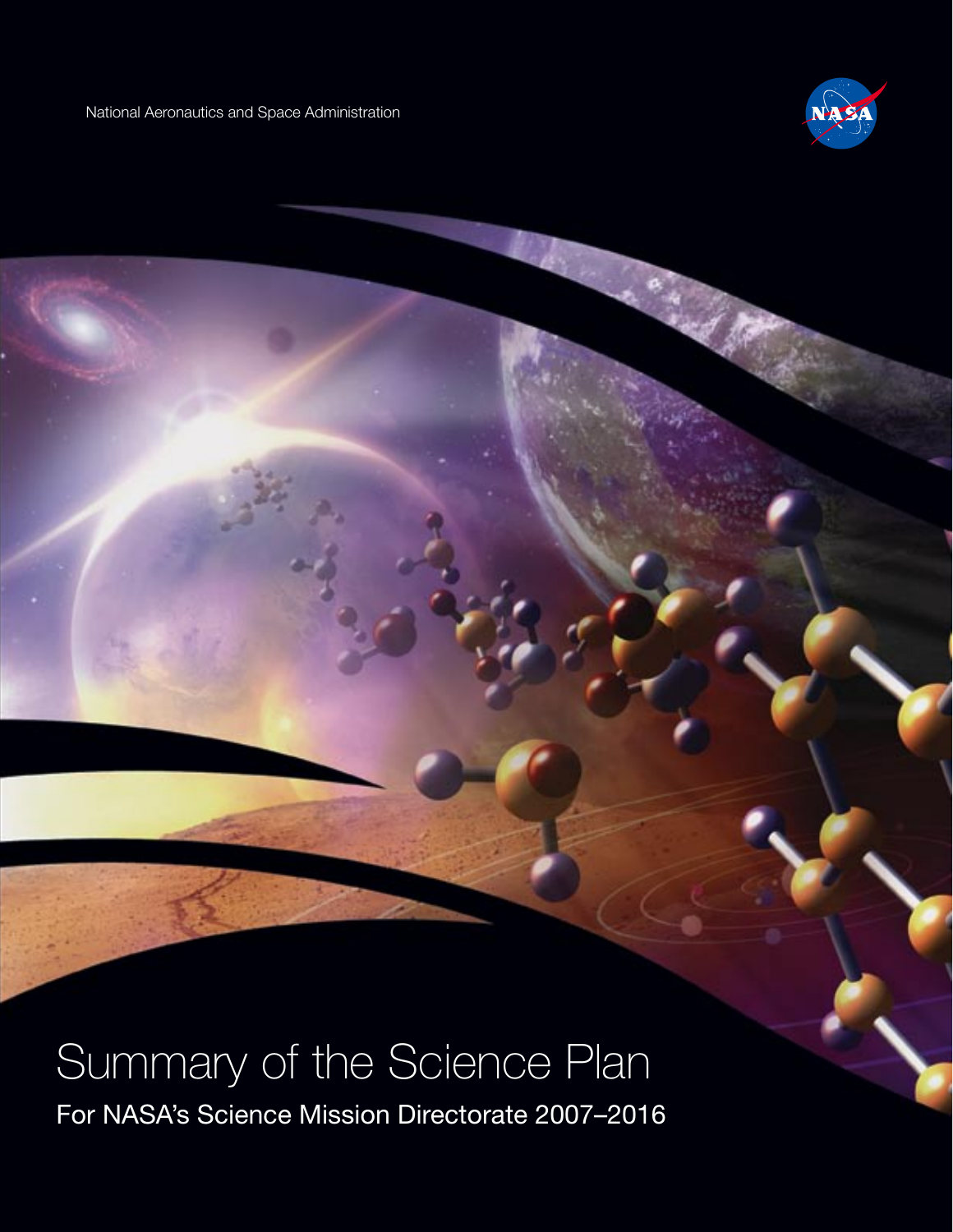National Aeronautics and Space Administration



# Summary of the Science Plan

For NASA's Science Mission Directorate 2007–2016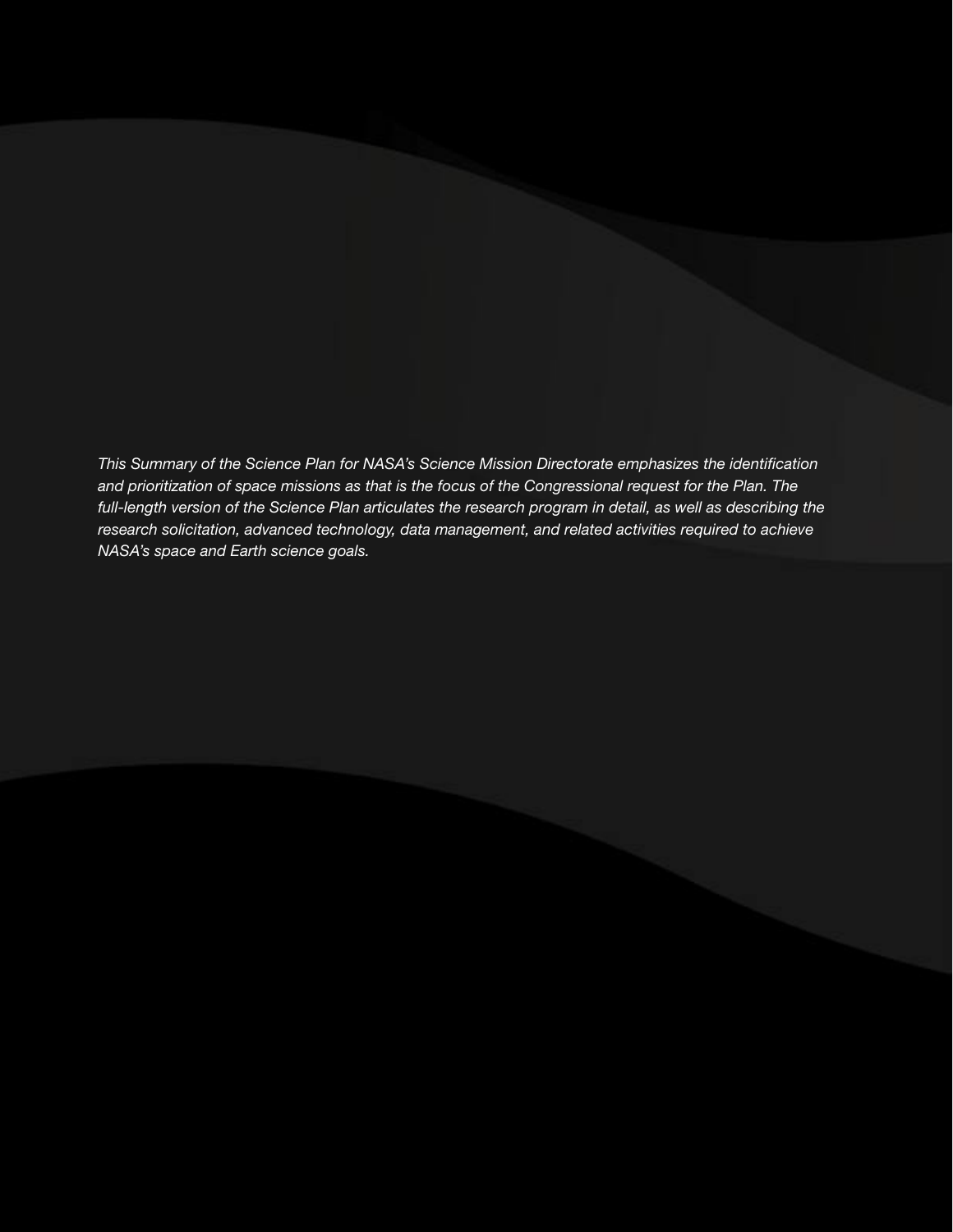*This Summary of the Science Plan for NASA's Science Mission Directorate emphasizes the identification and prioritization of space missions as that is the focus of the Congressional request for the Plan. The full-length version of the Science Plan articulates the research program in detail, as well as describing the research solicitation, advanced technology, data management, and related activities required to achieve NASA's space and Earth science goals.*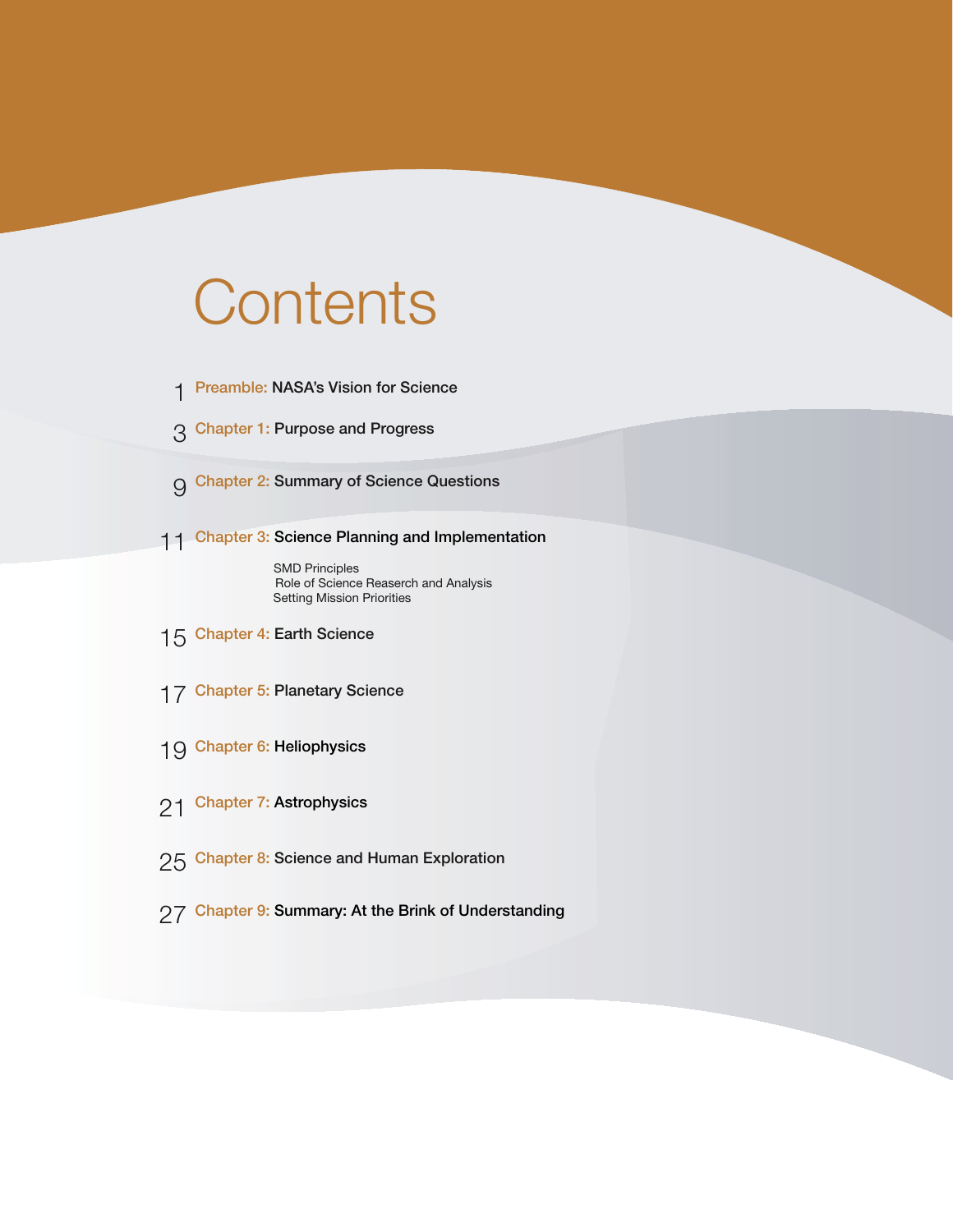# **Contents**

- 1 Preamble: NASA's Vision for Science
- 3 Chapter 1: Purpose and Progress
- $\Theta$  Chapter 2: Summary of Science Questions
- 11 Chapter 3: Science Planning and Implementation

SMD Principles Role of Science Reaserch and Analysis Setting Mission Priorities

- 15 Chapter 4: Earth Science
- 17 Chapter 5: Planetary Science
- 19 Chapter 6: Heliophysics
- 21 Chapter 7: Astrophysics
- 25 Chapter 8: Science and Human Exploration
- 27 Chapter 9: Summary: At the Brink of Understanding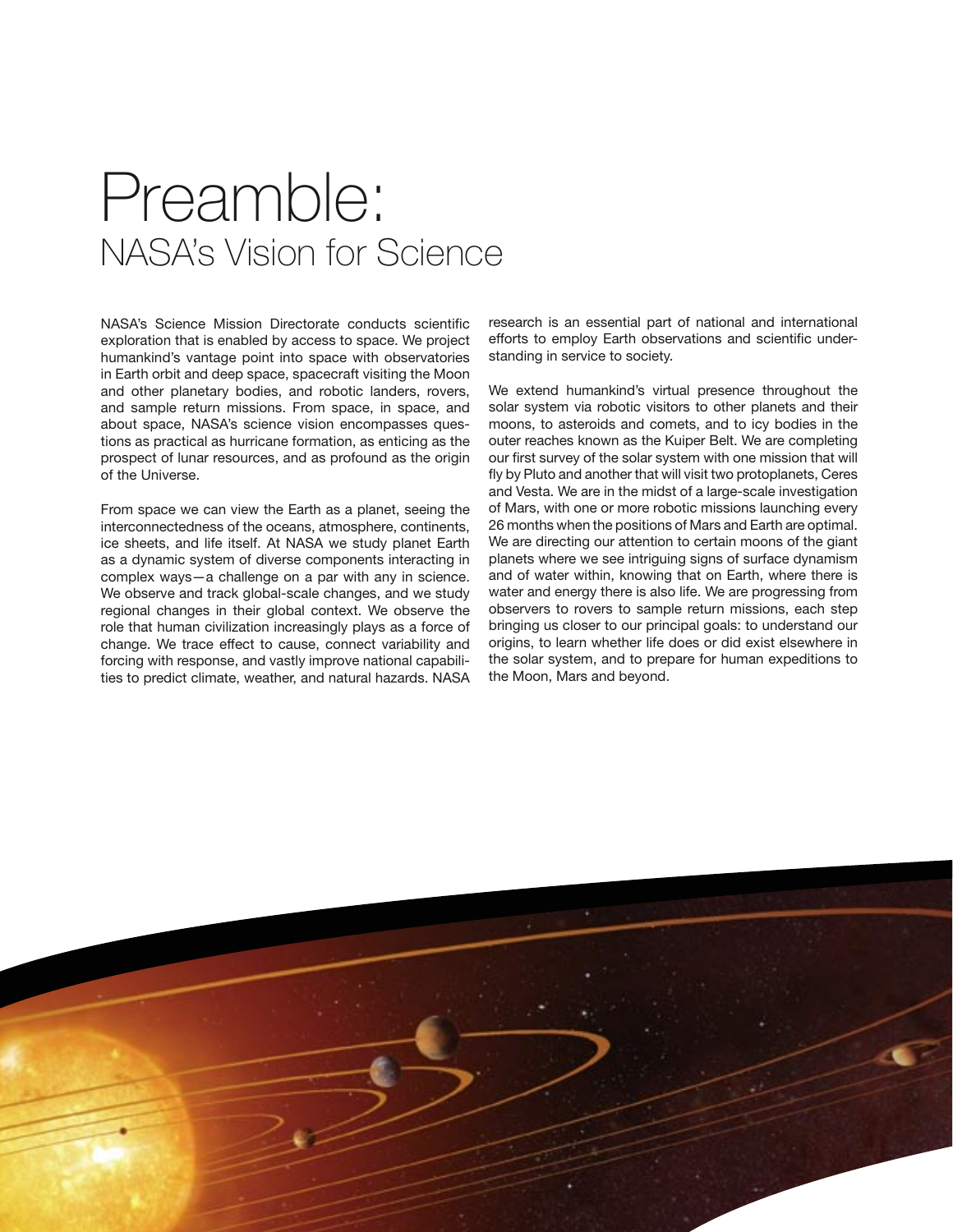# Preamble: NASA's Vision for Science

NASA's Science Mission Directorate conducts scientific exploration that is enabled by access to space. We project humankind's vantage point into space with observatories in Earth orbit and deep space, spacecraft visiting the Moon and other planetary bodies, and robotic landers, rovers, and sample return missions. From space, in space, and about space, NASA's science vision encompasses questions as practical as hurricane formation, as enticing as the prospect of lunar resources, and as profound as the origin of the Universe.

From space we can view the Earth as a planet, seeing the interconnectedness of the oceans, atmosphere, continents, ice sheets, and life itself. At NASA we study planet Earth as a dynamic system of diverse components interacting in complex ways—a challenge on a par with any in science. We observe and track global-scale changes, and we study regional changes in their global context. We observe the role that human civilization increasingly plays as a force of change. We trace effect to cause, connect variability and forcing with response, and vastly improve national capabilities to predict climate, weather, and natural hazards. NASA research is an essential part of national and international efforts to employ Earth observations and scientific understanding in service to society.

We extend humankind's virtual presence throughout the solar system via robotic visitors to other planets and their moons, to asteroids and comets, and to icy bodies in the outer reaches known as the Kuiper Belt. We are completing our first survey of the solar system with one mission that will fly by Pluto and another that will visit two protoplanets, Ceres and Vesta. We are in the midst of a large-scale investigation of Mars, with one or more robotic missions launching every 26 months when the positions of Mars and Earth are optimal. We are directing our attention to certain moons of the giant planets where we see intriguing signs of surface dynamism and of water within, knowing that on Earth, where there is water and energy there is also life. We are progressing from observers to rovers to sample return missions, each step bringing us closer to our principal goals: to understand our origins, to learn whether life does or did exist elsewhere in the solar system, and to prepare for human expeditions to the Moon, Mars and beyond.

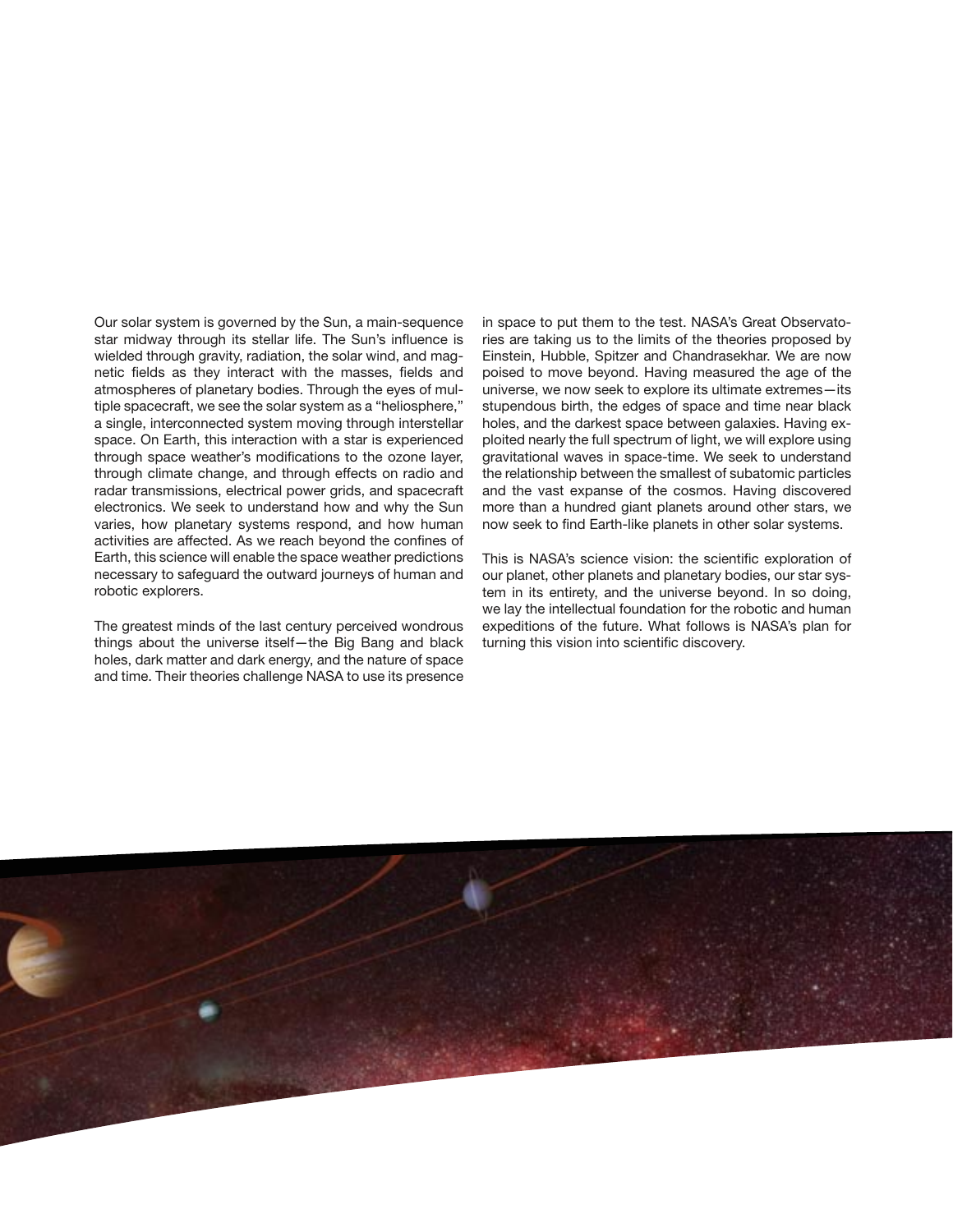Our solar system is governed by the Sun, a main-sequence star midway through its stellar life. The Sun's influence is wielded through gravity, radiation, the solar wind, and magnetic fields as they interact with the masses, fields and atmospheres of planetary bodies. Through the eyes of multiple spacecraft, we see the solar system as a "heliosphere," a single, interconnected system moving through interstellar space. On Earth, this interaction with a star is experienced through space weather's modifications to the ozone layer, through climate change, and through effects on radio and radar transmissions, electrical power grids, and spacecraft electronics. We seek to understand how and why the Sun varies, how planetary systems respond, and how human activities are affected. As we reach beyond the confines of Earth, this science will enable the space weather predictions necessary to safeguard the outward journeys of human and robotic explorers.

The greatest minds of the last century perceived wondrous things about the universe itself—the Big Bang and black holes, dark matter and dark energy, and the nature of space and time. Their theories challenge NASA to use its presence

in space to put them to the test. NASA's Great Observatories are taking us to the limits of the theories proposed by Einstein, Hubble, Spitzer and Chandrasekhar. We are now poised to move beyond. Having measured the age of the universe, we now seek to explore its ultimate extremes—its stupendous birth, the edges of space and time near black holes, and the darkest space between galaxies. Having exploited nearly the full spectrum of light, we will explore using gravitational waves in space-time. We seek to understand the relationship between the smallest of subatomic particles and the vast expanse of the cosmos. Having discovered more than a hundred giant planets around other stars, we now seek to find Earth-like planets in other solar systems.

This is NASA's science vision: the scientific exploration of our planet, other planets and planetary bodies, our star system in its entirety, and the universe beyond. In so doing, we lay the intellectual foundation for the robotic and human expeditions of the future. What follows is NASA's plan for turning this vision into scientific discovery.

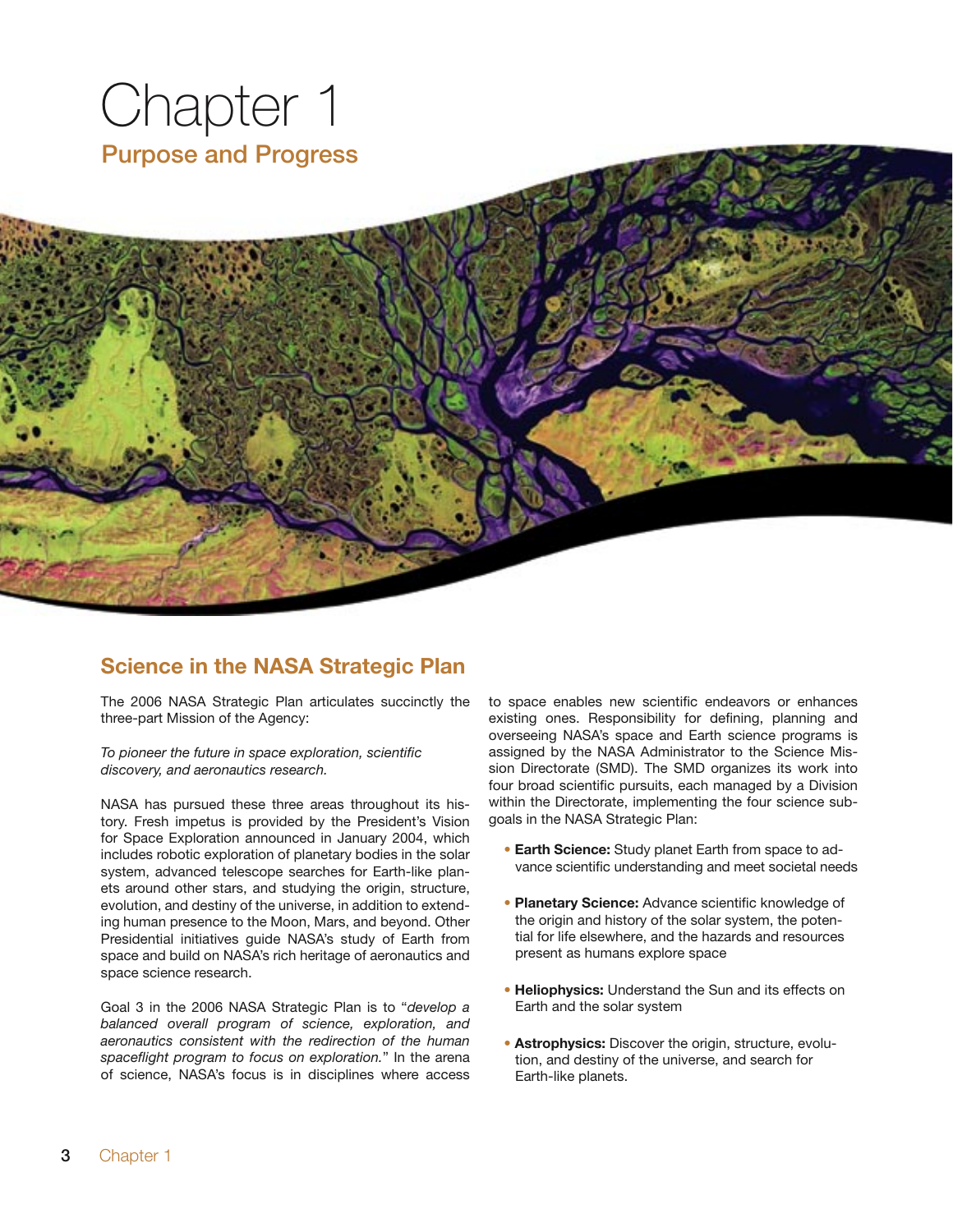

### **Science in the NASA Strategic Plan**

The 2006 NASA Strategic Plan articulates succinctly the three-part Mission of the Agency:

*To pioneer the future in space exploration, scientific discovery, and aeronautics research.*

NASA has pursued these three areas throughout its history. Fresh impetus is provided by the President's Vision for Space Exploration announced in January 2004, which includes robotic exploration of planetary bodies in the solar system, advanced telescope searches for Earth-like planets around other stars, and studying the origin, structure, evolution, and destiny of the universe, in addition to extending human presence to the Moon, Mars, and beyond. Other Presidential initiatives guide NASA's study of Earth from space and build on NASA's rich heritage of aeronautics and space science research.

Goal 3 in the 2006 NASA Strategic Plan is to "*develop a balanced overall program of science, exploration, and aeronautics consistent with the redirection of the human spaceflight program to focus on exploration.*" In the arena of science, NASA's focus is in disciplines where access to space enables new scientific endeavors or enhances existing ones. Responsibility for defining, planning and overseeing NASA's space and Earth science programs is assigned by the NASA Administrator to the Science Mission Directorate (SMD). The SMD organizes its work into four broad scientific pursuits, each managed by a Division within the Directorate, implementing the four science subgoals in the NASA Strategic Plan:

- **Earth Science:** Study planet Earth from space to advance scientific understanding and meet societal needs
- **Planetary Science:** Advance scientific knowledge of the origin and history of the solar system, the potential for life elsewhere, and the hazards and resources present as humans explore space
- **Heliophysics:** Understand the Sun and its effects on Earth and the solar system
- **Astrophysics:** Discover the origin, structure, evolution, and destiny of the universe, and search for Earth-like planets.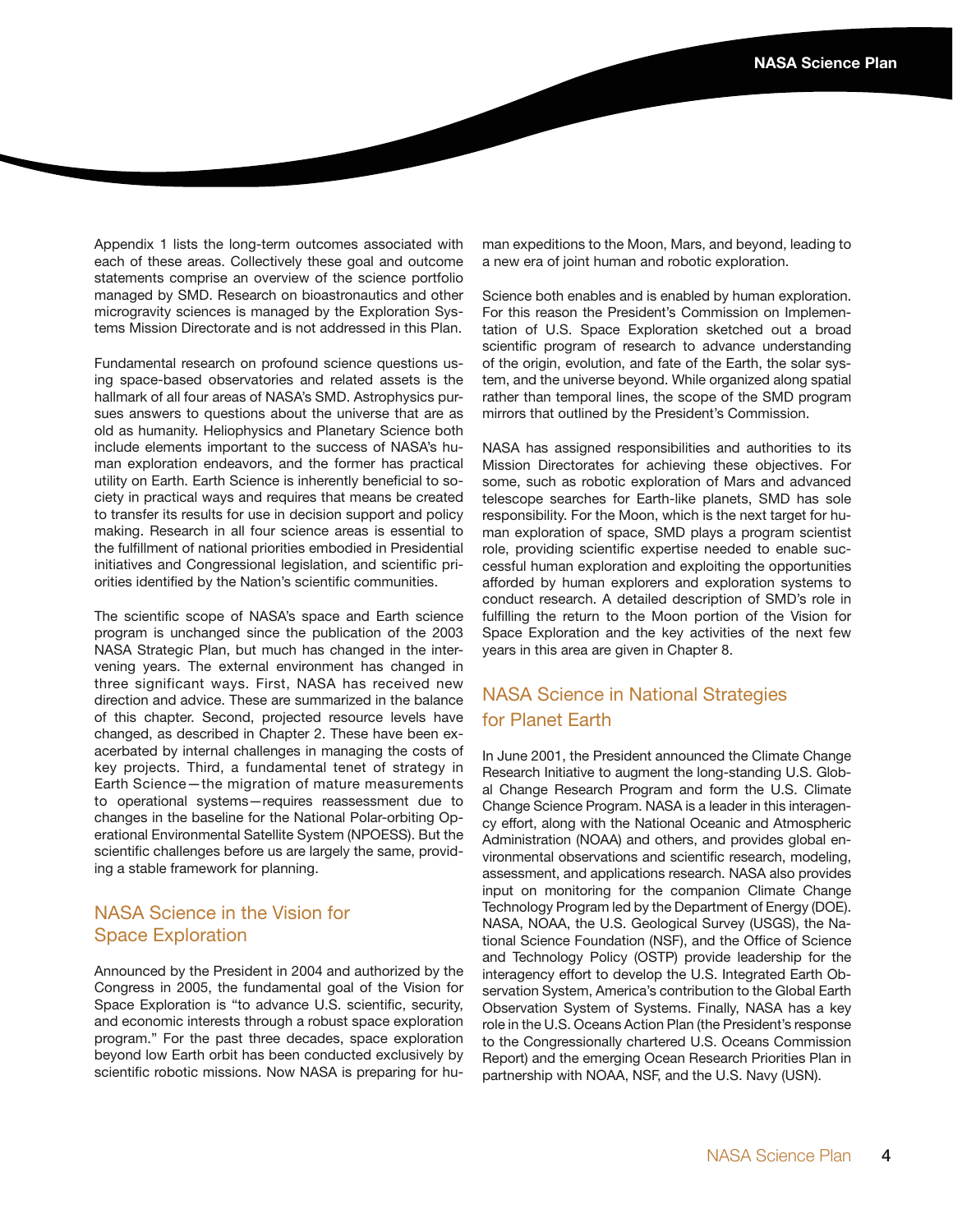Appendix 1 lists the long-term outcomes associated with each of these areas. Collectively these goal and outcome statements comprise an overview of the science portfolio managed by SMD. Research on bioastronautics and other microgravity sciences is managed by the Exploration Systems Mission Directorate and is not addressed in this Plan.

Fundamental research on profound science questions using space-based observatories and related assets is the hallmark of all four areas of NASA's SMD. Astrophysics pursues answers to questions about the universe that are as old as humanity. Heliophysics and Planetary Science both include elements important to the success of NASA's human exploration endeavors, and the former has practical utility on Earth. Earth Science is inherently beneficial to society in practical ways and requires that means be created to transfer its results for use in decision support and policy making. Research in all four science areas is essential to the fulfillment of national priorities embodied in Presidential initiatives and Congressional legislation, and scientific priorities identified by the Nation's scientific communities.

The scientific scope of NASA's space and Earth science program is unchanged since the publication of the 2003 NASA Strategic Plan, but much has changed in the intervening years. The external environment has changed in three significant ways. First, NASA has received new direction and advice. These are summarized in the balance of this chapter. Second, projected resource levels have changed, as described in Chapter 2. These have been exacerbated by internal challenges in managing the costs of key projects. Third, a fundamental tenet of strategy in Earth Science—the migration of mature measurements to operational systems—requires reassessment due to changes in the baseline for the National Polar-orbiting Operational Environmental Satellite System (NPOESS). But the scientific challenges before us are largely the same, providing a stable framework for planning.

#### NASA Science in the Vision for Space Exploration

Announced by the President in 2004 and authorized by the Congress in 2005, the fundamental goal of the Vision for Space Exploration is "to advance U.S. scientific, security, and economic interests through a robust space exploration program." For the past three decades, space exploration beyond low Earth orbit has been conducted exclusively by scientific robotic missions. Now NASA is preparing for human expeditions to the Moon, Mars, and beyond, leading to a new era of joint human and robotic exploration.

Science both enables and is enabled by human exploration. For this reason the President's Commission on Implementation of U.S. Space Exploration sketched out a broad scientific program of research to advance understanding of the origin, evolution, and fate of the Earth, the solar system, and the universe beyond. While organized along spatial rather than temporal lines, the scope of the SMD program mirrors that outlined by the President's Commission.

NASA has assigned responsibilities and authorities to its Mission Directorates for achieving these objectives. For some, such as robotic exploration of Mars and advanced telescope searches for Earth-like planets, SMD has sole responsibility. For the Moon, which is the next target for human exploration of space, SMD plays a program scientist role, providing scientific expertise needed to enable successful human exploration and exploiting the opportunities afforded by human explorers and exploration systems to conduct research. A detailed description of SMD's role in fulfilling the return to the Moon portion of the Vision for Space Exploration and the key activities of the next few years in this area are given in Chapter 8.

### NASA Science in National Strategies for Planet Earth

In June 2001, the President announced the Climate Change Research Initiative to augment the long-standing U.S. Global Change Research Program and form the U.S. Climate Change Science Program. NASA is a leader in this interagency effort, along with the National Oceanic and Atmospheric Administration (NOAA) and others, and provides global environmental observations and scientific research, modeling, assessment, and applications research. NASA also provides input on monitoring for the companion Climate Change Technology Program led by the Department of Energy (DOE). NASA, NOAA, the U.S. Geological Survey (USGS), the National Science Foundation (NSF), and the Office of Science and Technology Policy (OSTP) provide leadership for the interagency effort to develop the U.S. Integrated Earth Observation System, America's contribution to the Global Earth Observation System of Systems. Finally, NASA has a key role in the U.S. Oceans Action Plan (the President's response to the Congressionally chartered U.S. Oceans Commission Report) and the emerging Ocean Research Priorities Plan in partnership with NOAA, NSF, and the U.S. Navy (USN).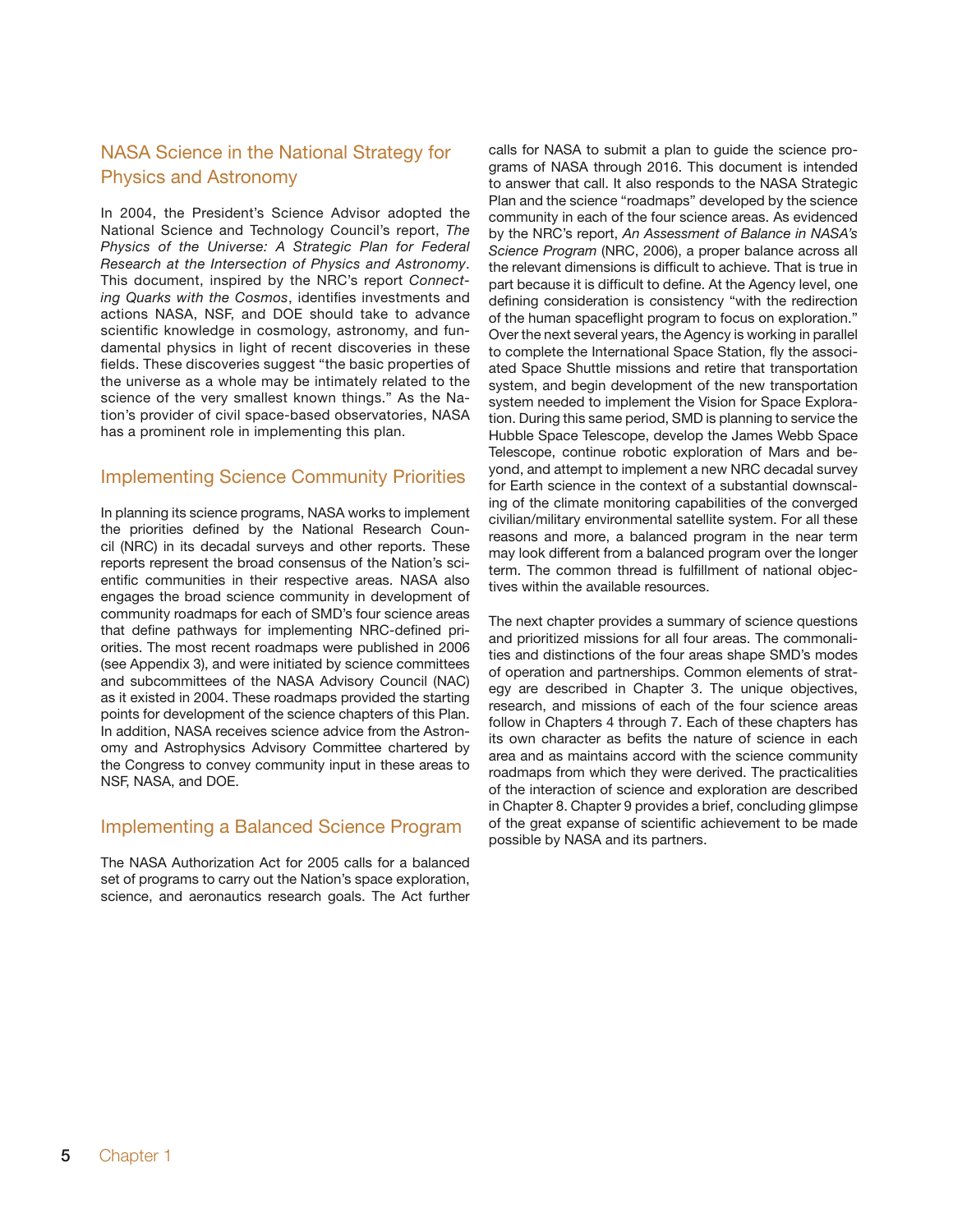### NASA Science in the National Strategy for Physics and Astronomy

In 2004, the President's Science Advisor adopted the National Science and Technology Council's report, *The Physics of the Universe: A Strategic Plan for Federal Research at the Intersection of Physics and Astronomy*. This document, inspired by the NRC's report *Connecting Quarks with the Cosmos*, identifies investments and actions NASA, NSF, and DOE should take to advance scientific knowledge in cosmology, astronomy, and fundamental physics in light of recent discoveries in these fields. These discoveries suggest "the basic properties of the universe as a whole may be intimately related to the science of the very smallest known things." As the Nation's provider of civil space-based observatories, NASA has a prominent role in implementing this plan.

#### Implementing Science Community Priorities

In planning its science programs, NASA works to implement the priorities defined by the National Research Council (NRC) in its decadal surveys and other reports. These reports represent the broad consensus of the Nation's scientific communities in their respective areas. NASA also engages the broad science community in development of community roadmaps for each of SMD's four science areas that define pathways for implementing NRC-defined priorities. The most recent roadmaps were published in 2006 (see Appendix 3), and were initiated by science committees and subcommittees of the NASA Advisory Council (NAC) as it existed in 2004. These roadmaps provided the starting points for development of the science chapters of this Plan. In addition, NASA receives science advice from the Astronomy and Astrophysics Advisory Committee chartered by the Congress to convey community input in these areas to NSF, NASA, and DOE.

### Implementing a Balanced Science Program

The NASA Authorization Act for 2005 calls for a balanced set of programs to carry out the Nation's space exploration, science, and aeronautics research goals. The Act further

calls for NASA to submit a plan to guide the science programs of NASA through 2016. This document is intended to answer that call. It also responds to the NASA Strategic Plan and the science "roadmaps" developed by the science community in each of the four science areas. As evidenced by the NRC's report, *An Assessment of Balance in NASA's Science Program* (NRC, 2006), a proper balance across all the relevant dimensions is difficult to achieve. That is true in part because it is difficult to define. At the Agency level, one defining consideration is consistency "with the redirection of the human spaceflight program to focus on exploration." Over the next several years, the Agency is working in parallel to complete the International Space Station, fly the associated Space Shuttle missions and retire that transportation system, and begin development of the new transportation system needed to implement the Vision for Space Exploration. During this same period, SMD is planning to service the Hubble Space Telescope, develop the James Webb Space Telescope, continue robotic exploration of Mars and beyond, and attempt to implement a new NRC decadal survey for Earth science in the context of a substantial downscaling of the climate monitoring capabilities of the converged civilian/military environmental satellite system. For all these reasons and more, a balanced program in the near term may look different from a balanced program over the longer term. The common thread is fulfillment of national objectives within the available resources.

The next chapter provides a summary of science questions and prioritized missions for all four areas. The commonalities and distinctions of the four areas shape SMD's modes of operation and partnerships. Common elements of strategy are described in Chapter 3. The unique objectives, research, and missions of each of the four science areas follow in Chapters 4 through 7. Each of these chapters has its own character as befits the nature of science in each area and as maintains accord with the science community roadmaps from which they were derived. The practicalities of the interaction of science and exploration are described in Chapter 8. Chapter 9 provides a brief, concluding glimpse of the great expanse of scientific achievement to be made possible by NASA and its partners.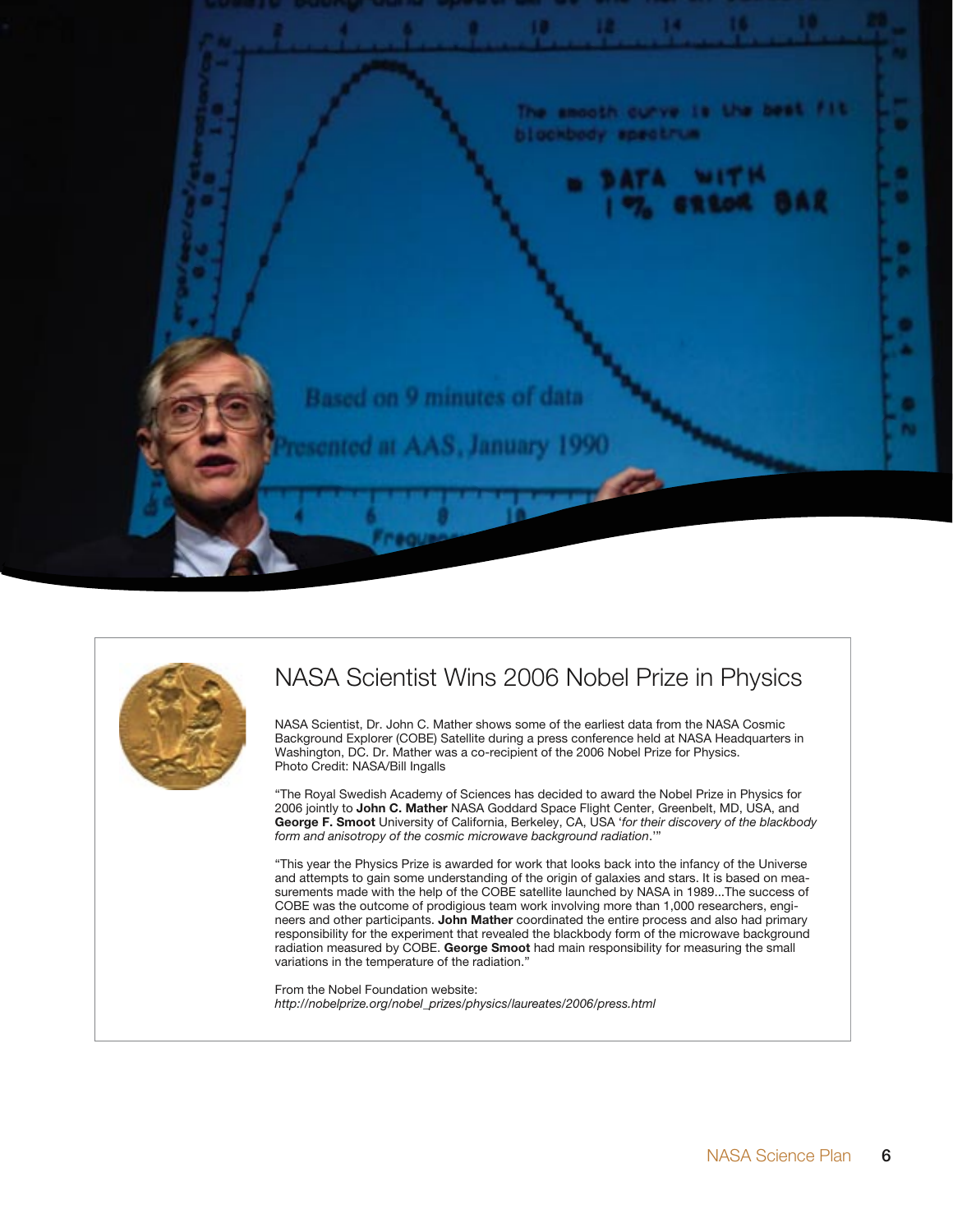



## NASA Scientist Wins 2006 Nobel Prize in Physics

NASA Scientist, Dr. John C. Mather shows some of the earliest data from the NASA Cosmic Background Explorer (COBE) Satellite during a press conference held at NASA Headquarters in Washington, DC. Dr. Mather was a co-recipient of the 2006 Nobel Prize for Physics. Photo Credit: NASA/Bill Ingalls

"The Royal Swedish Academy of Sciences has decided to award the Nobel Prize in Physics for 2006 jointly to **John C. Mather** NASA Goddard Space Flight Center, Greenbelt, MD, USA, and **George F. Smoot** University of California, Berkeley, CA, USA '*for their discovery of the blackbody form and anisotropy of the cosmic microwave background radiation*.'"

"This year the Physics Prize is awarded for work that looks back into the infancy of the Universe and attempts to gain some understanding of the origin of galaxies and stars. It is based on measurements made with the help of the COBE satellite launched by NASA in 1989...The success of COBE was the outcome of prodigious team work involving more than 1,000 researchers, engineers and other participants. **John Mather** coordinated the entire process and also had primary responsibility for the experiment that revealed the blackbody form of the microwave background radiation measured by COBE. **George Smoot** had main responsibility for measuring the small variations in the temperature of the radiation."

From the Nobel Foundation website: *http://nobelprize.org/nobel\_prizes/physics/laureates/2006/press.html*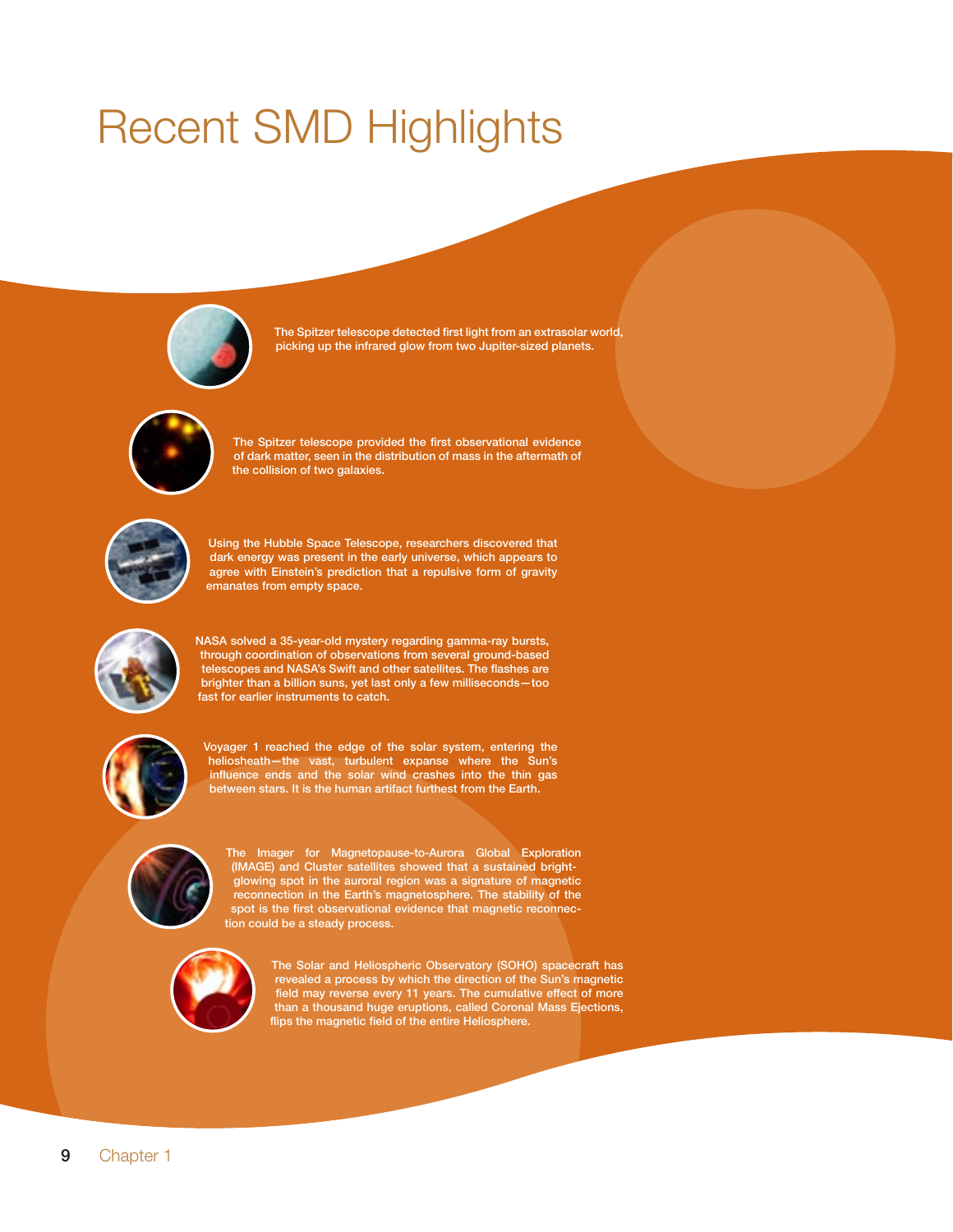# **Recent SMD Highlights**



The Spitzer telescope detected first light from an extrasolar world, picking up the infrared glow from two Jupiter-sized planets.



The Spitzer telescope provided the first observational evidence of dark matter, seen in the distribution of mass in the aftermath of the collision of two galaxies.



Using the Hubble Space Telescope, researchers discovered that dark energy was present in the early universe, which appears to agree with Einstein's prediction that a repulsive form of gravity emanates from empty space.



NASA solved a 35-year-old mystery regarding gamma-ray bursts,<br>through coordination of observations from several ground-based telescopes and NASA's Swift and other satellites. The flashes are brighter than a billion suns, yet last only a few milliseconds-too fast for earlier instruments to catch.



Voyager 1 reached the edge of the solar system, entering the heliosheath-the vast, turbulent expanse where the Sun's influence ends and the solar wind crashes into the thin gas between stars. It is the human artifact furthest from the Earth.



The Imager for Magnetopause-to-Aurora Global Exploration (IMAGE) and Cluster satellites showed that a sustained brightglowing spot in the auroral region was a signature of magnetic reconnection in the Earth's magnetosphere. The stability of the<br>spot is the first observational evidence that magnetic reconnection could be a steady process.



The Solar and Heliospheric Observatory (SOHO) spacecraft has revealed a process by which the direction of the Sun's magnetic field may reverse every 11 years. The cumulative effect of more<br>than a thousand huge eruptions, called Coronal Mass Ejections, flips the magnetic field of the entire Heliosphere.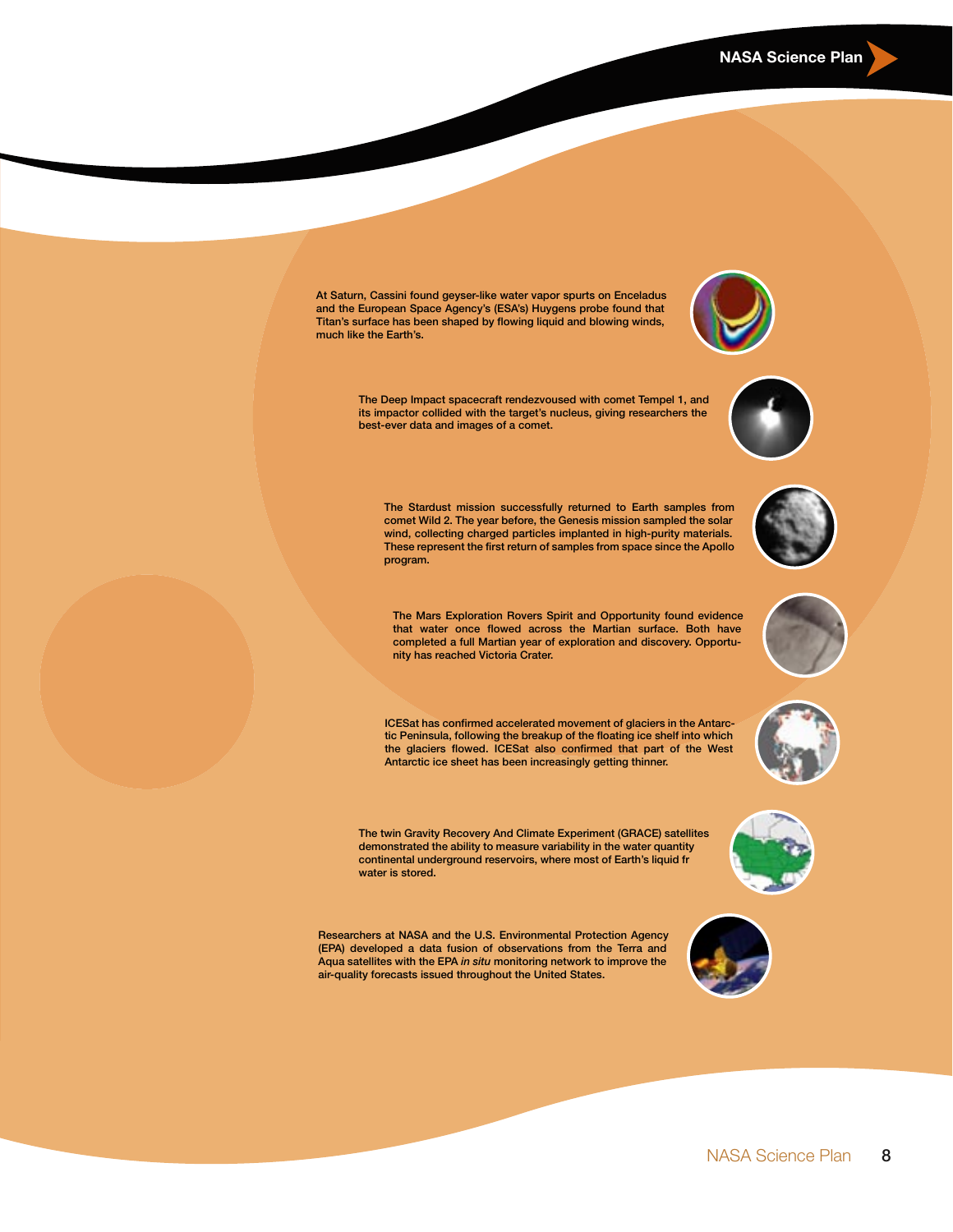At Saturn, Cassini found geyser-like water vapor spurts on Enceladus and the European Space Agency's (ESA's) Huygens probe found that Titan's surface has been shaped by flowing liquid and blowing winds, much like the Earth's.

> The Deep Impact spacecraft rendezvoused with comet Tempel 1, and its impactor collided with the target's nucleus, giving researchers the best-ever data and images of a comet.

The Stardust mission successfully returned to Earth samples from comet Wild 2. The year before, the Genesis mission sampled the solar wind, collecting charged particles implanted in high-purity materials. These represent the first return of samples from space since the Apollo program.

The Mars Exploration Rovers Spirit and Opportunity found evidence that water once flowed across the Martian surface. Both have completed a full Martian year of exploration and discovery. Opportunity has reached Victoria Crater.

ICESat has confirmed accelerated movement of glaciers in the Antarctic Peninsula, following the breakup of the floating ice shelf into which the glaciers flowed. ICESat also confirmed that part of the West Antarctic ice sheet has been increasingly getting thinner.

The twin Gravity Recovery And Climate Experiment (GRACE) satellites demonstrated the ability to measure variability in the water quantity continental underground reservoirs, where most of Earth's liquid fr water is stored.

Researchers at NASA and the U.S. Environmental Protection Agency (EPA) developed a data fusion of observations from the Terra and Aqua satellites with the EPA in situ monitoring network to improve the air-quality forecasts issued throughout the United States.









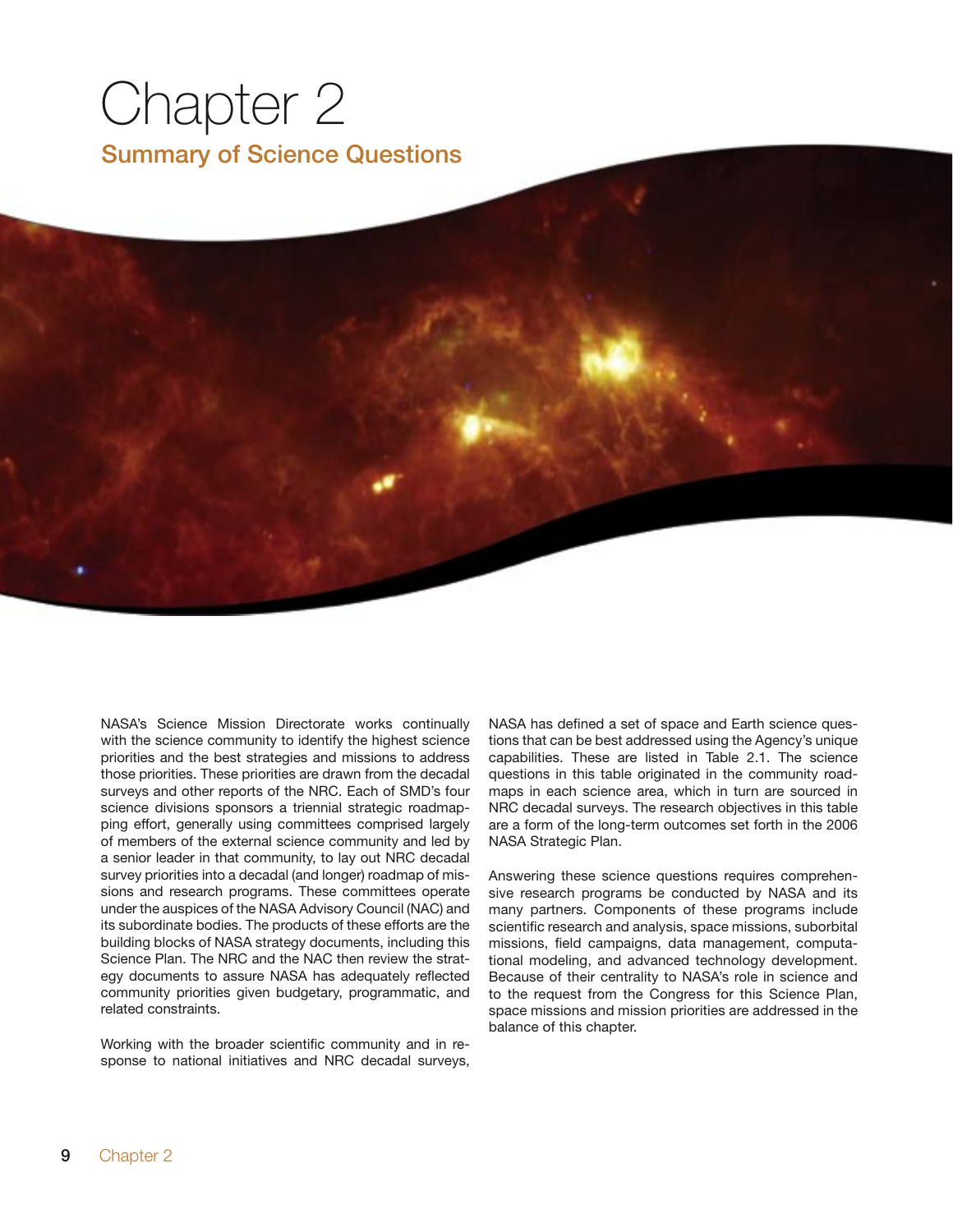# Chapter 2 Summary of Science Questions

NASA's Science Mission Directorate works continually with the science community to identify the highest science priorities and the best strategies and missions to address those priorities. These priorities are drawn from the decadal surveys and other reports of the NRC. Each of SMD's four science divisions sponsors a triennial strategic roadmapping effort, generally using committees comprised largely of members of the external science community and led by a senior leader in that community, to lay out NRC decadal survey priorities into a decadal (and longer) roadmap of missions and research programs. These committees operate under the auspices of the NASA Advisory Council (NAC) and its subordinate bodies. The products of these efforts are the building blocks of NASA strategy documents, including this Science Plan. The NRC and the NAC then review the strategy documents to assure NASA has adequately reflected community priorities given budgetary, programmatic, and related constraints.

Working with the broader scientific community and in response to national initiatives and NRC decadal surveys, NASA has defined a set of space and Earth science questions that can be best addressed using the Agency's unique capabilities. These are listed in Table 2.1. The science questions in this table originated in the community roadmaps in each science area, which in turn are sourced in NRC decadal surveys. The research objectives in this table are a form of the long-term outcomes set forth in the 2006 NASA Strategic Plan.

Answering these science questions requires comprehensive research programs be conducted by NASA and its many partners. Components of these programs include scientific research and analysis, space missions, suborbital missions, field campaigns, data management, computational modeling, and advanced technology development. Because of their centrality to NASA's role in science and to the request from the Congress for this Science Plan, space missions and mission priorities are addressed in the balance of this chapter.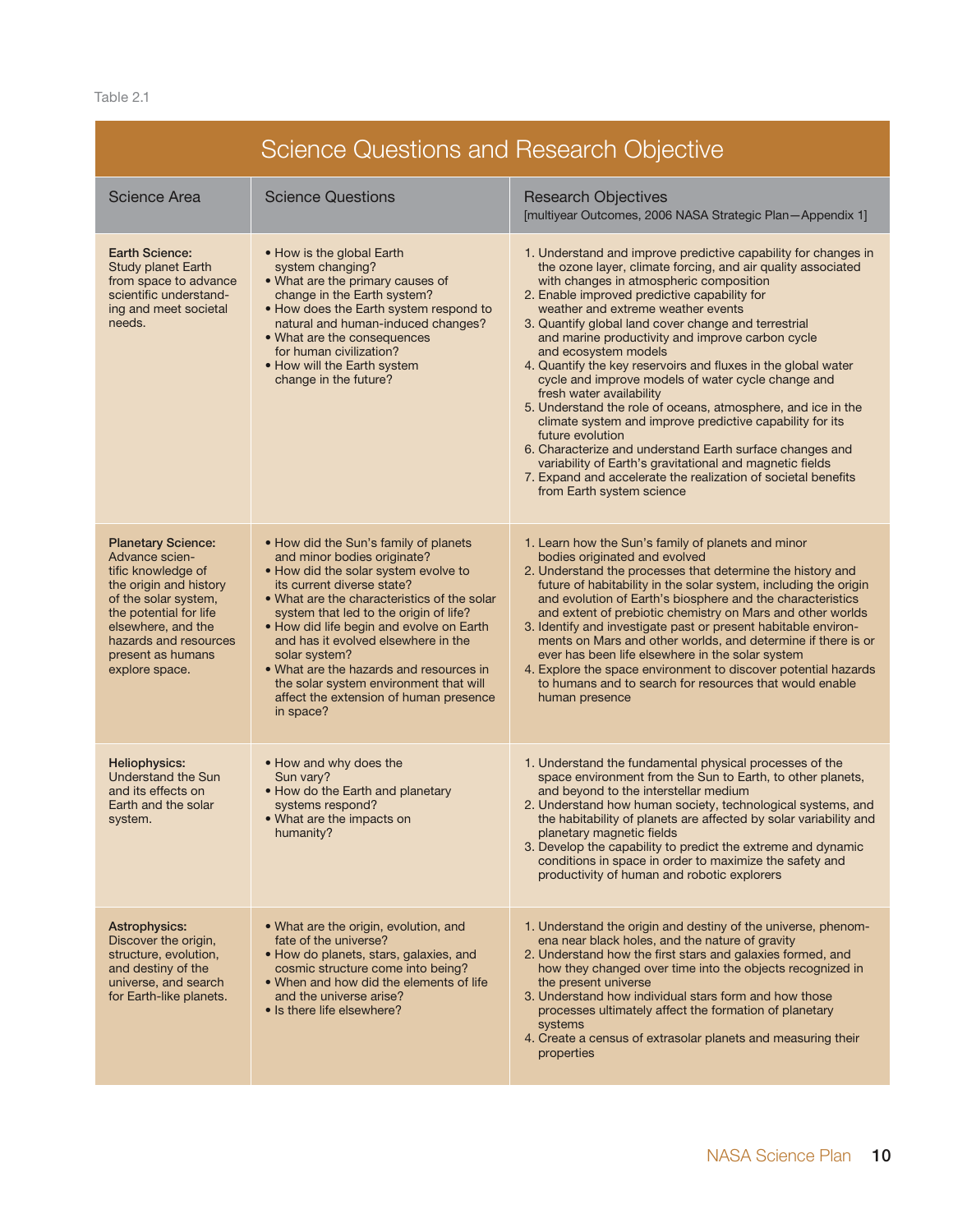Table 2.1

| Science Questions and Research Objective                                                                                                                                                                                            |                                                                                                                                                                                                                                                                                                                                                                                                                                                                                     |                                                                                                                                                                                                                                                                                                                                                                                                                                                                                                                                                                                                                                                                                                                                                                                                                                                                                                                              |  |  |  |
|-------------------------------------------------------------------------------------------------------------------------------------------------------------------------------------------------------------------------------------|-------------------------------------------------------------------------------------------------------------------------------------------------------------------------------------------------------------------------------------------------------------------------------------------------------------------------------------------------------------------------------------------------------------------------------------------------------------------------------------|------------------------------------------------------------------------------------------------------------------------------------------------------------------------------------------------------------------------------------------------------------------------------------------------------------------------------------------------------------------------------------------------------------------------------------------------------------------------------------------------------------------------------------------------------------------------------------------------------------------------------------------------------------------------------------------------------------------------------------------------------------------------------------------------------------------------------------------------------------------------------------------------------------------------------|--|--|--|
| <b>Science Area</b>                                                                                                                                                                                                                 | <b>Science Questions</b>                                                                                                                                                                                                                                                                                                                                                                                                                                                            | <b>Research Objectives</b><br>[multiyear Outcomes, 2006 NASA Strategic Plan-Appendix 1]                                                                                                                                                                                                                                                                                                                                                                                                                                                                                                                                                                                                                                                                                                                                                                                                                                      |  |  |  |
| <b>Earth Science:</b><br><b>Study planet Earth</b><br>from space to advance<br>scientific understand-<br>ing and meet societal<br>needs.                                                                                            | • How is the global Earth<br>system changing?<br>. What are the primary causes of<br>change in the Earth system?<br>. How does the Earth system respond to<br>natural and human-induced changes?<br>• What are the consequences<br>for human civilization?<br>• How will the Earth system<br>change in the future?                                                                                                                                                                  | 1. Understand and improve predictive capability for changes in<br>the ozone layer, climate forcing, and air quality associated<br>with changes in atmospheric composition<br>2. Enable improved predictive capability for<br>weather and extreme weather events<br>3. Quantify global land cover change and terrestrial<br>and marine productivity and improve carbon cycle<br>and ecosystem models<br>4. Quantify the key reservoirs and fluxes in the global water<br>cycle and improve models of water cycle change and<br>fresh water availability<br>5. Understand the role of oceans, atmosphere, and ice in the<br>climate system and improve predictive capability for its<br>future evolution<br>6. Characterize and understand Earth surface changes and<br>variability of Earth's gravitational and magnetic fields<br>7. Expand and accelerate the realization of societal benefits<br>from Earth system science |  |  |  |
| <b>Planetary Science:</b><br>Advance scien-<br>tific knowledge of<br>the origin and history<br>of the solar system,<br>the potential for life<br>elsewhere, and the<br>hazards and resources<br>present as humans<br>explore space. | • How did the Sun's family of planets<br>and minor bodies originate?<br>. How did the solar system evolve to<br>its current diverse state?<br>• What are the characteristics of the solar<br>system that led to the origin of life?<br>• How did life begin and evolve on Earth<br>and has it evolved elsewhere in the<br>solar system?<br>• What are the hazards and resources in<br>the solar system environment that will<br>affect the extension of human presence<br>in space? | 1. Learn how the Sun's family of planets and minor<br>bodies originated and evolved<br>2. Understand the processes that determine the history and<br>future of habitability in the solar system, including the origin<br>and evolution of Earth's biosphere and the characteristics<br>and extent of prebiotic chemistry on Mars and other worlds<br>3. Identify and investigate past or present habitable environ-<br>ments on Mars and other worlds, and determine if there is or<br>ever has been life elsewhere in the solar system<br>4. Explore the space environment to discover potential hazards<br>to humans and to search for resources that would enable<br>human presence                                                                                                                                                                                                                                       |  |  |  |
| Heliophysics:<br><b>Understand the Sun</b><br>and its effects on<br>Earth and the solar<br>system.                                                                                                                                  | • How and why does the<br>Sun vary?<br>. How do the Earth and planetary<br>systems respond?<br>• What are the impacts on<br>humanity?                                                                                                                                                                                                                                                                                                                                               | 1. Understand the fundamental physical processes of the<br>space environment from the Sun to Earth, to other planets,<br>and beyond to the interstellar medium<br>2. Understand how human society, technological systems, and<br>the habitability of planets are affected by solar variability and<br>planetary magnetic fields<br>3. Develop the capability to predict the extreme and dynamic<br>conditions in space in order to maximize the safety and<br>productivity of human and robotic explorers                                                                                                                                                                                                                                                                                                                                                                                                                    |  |  |  |
| <b>Astrophysics:</b><br>Discover the origin,<br>structure, evolution,<br>and destiny of the<br>universe, and search<br>for Earth-like planets.                                                                                      | • What are the origin, evolution, and<br>fate of the universe?<br>• How do planets, stars, galaxies, and<br>cosmic structure come into being?<br>• When and how did the elements of life<br>and the universe arise?<br>• Is there life elsewhere?                                                                                                                                                                                                                                   | 1. Understand the origin and destiny of the universe, phenom-<br>ena near black holes, and the nature of gravity<br>2. Understand how the first stars and galaxies formed, and<br>how they changed over time into the objects recognized in<br>the present universe<br>3. Understand how individual stars form and how those<br>processes ultimately affect the formation of planetary<br>systems<br>4. Create a census of extrasolar planets and measuring their<br>properties                                                                                                                                                                                                                                                                                                                                                                                                                                              |  |  |  |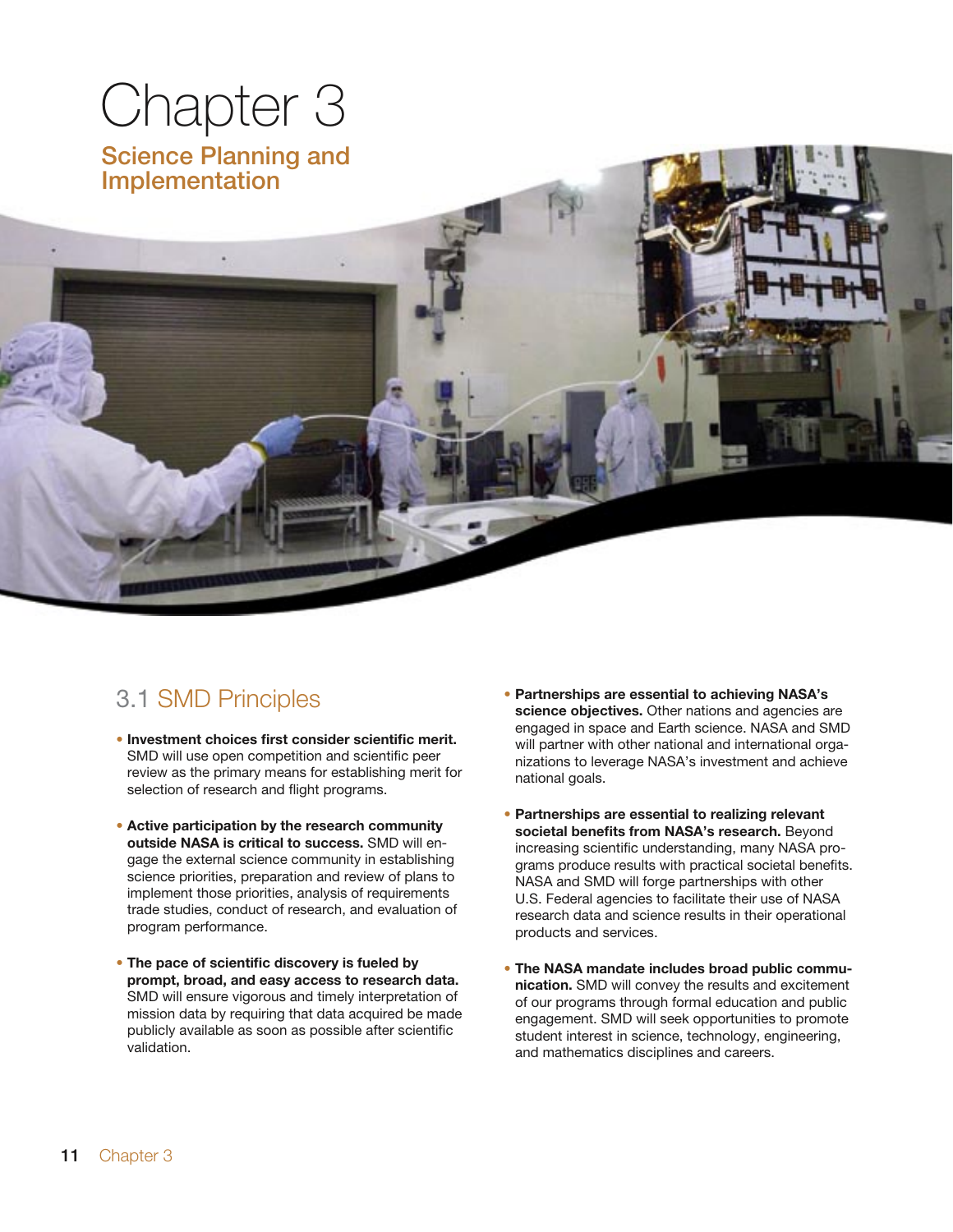# Chapter 3

Science Planning and Implementation

## 3.1 SMD Principles

- **Investment choices first consider scientific merit.**  SMD will use open competition and scientific peer review as the primary means for establishing merit for selection of research and flight programs.
- **Active participation by the research community outside NASA is critical to success.** SMD will engage the external science community in establishing science priorities, preparation and review of plans to implement those priorities, analysis of requirements trade studies, conduct of research, and evaluation of program performance.
- **The pace of scientific discovery is fueled by prompt, broad, and easy access to research data.** SMD will ensure vigorous and timely interpretation of mission data by requiring that data acquired be made publicly available as soon as possible after scientific validation.
- **Partnerships are essential to achieving NASA's science objectives.** Other nations and agencies are engaged in space and Earth science. NASA and SMD will partner with other national and international organizations to leverage NASA's investment and achieve national goals.
- **Partnerships are essential to realizing relevant societal benefits from NASA's research.** Beyond increasing scientific understanding, many NASA programs produce results with practical societal benefits. NASA and SMD will forge partnerships with other U.S. Federal agencies to facilitate their use of NASA research data and science results in their operational products and services.
- **The NASA mandate includes broad public communication.** SMD will convey the results and excitement of our programs through formal education and public engagement. SMD will seek opportunities to promote student interest in science, technology, engineering, and mathematics disciplines and careers.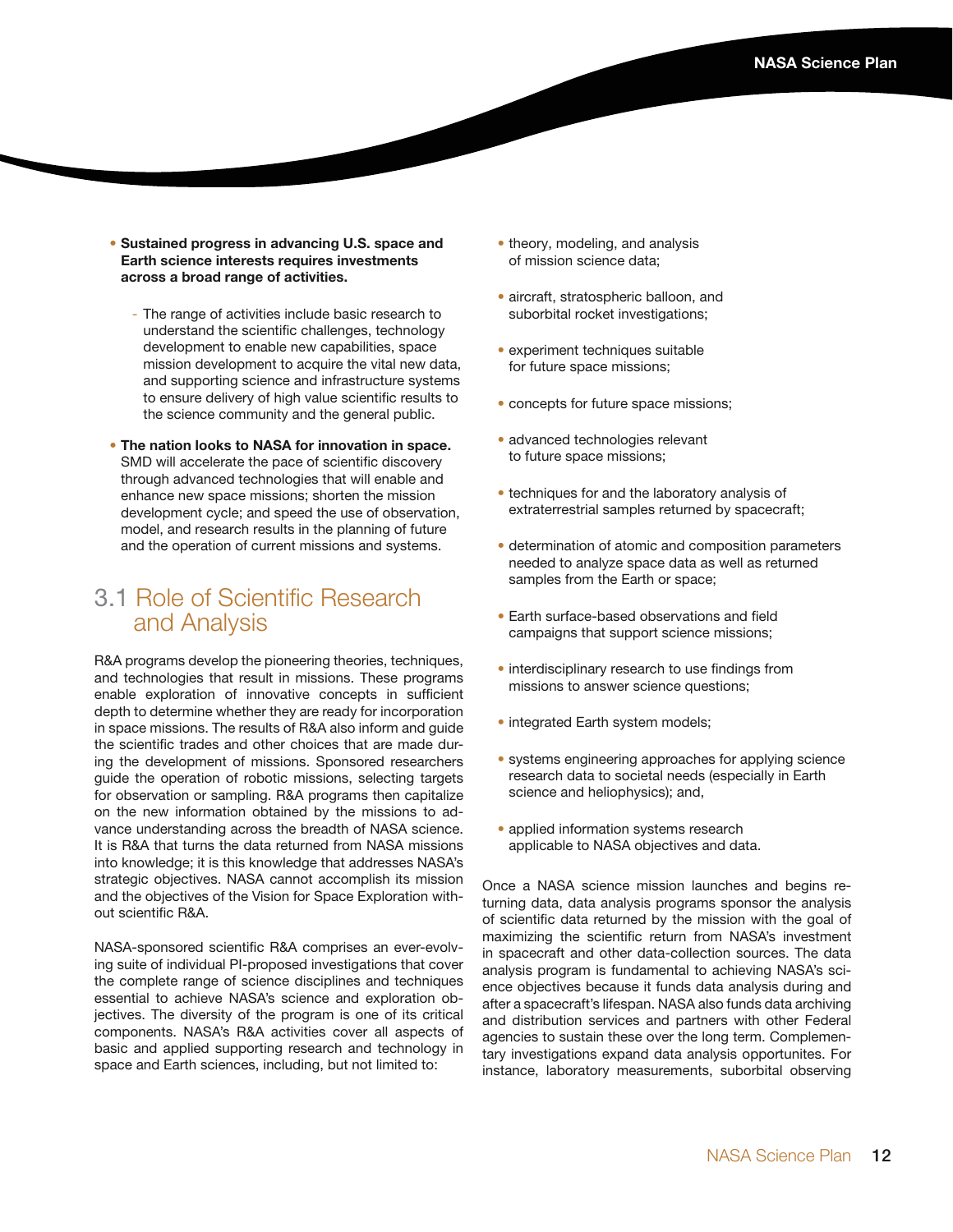- **Sustained progress in advancing U.S. space and Earth science interests requires investments across a broad range of activities.** 
	- The range of activities include basic research to understand the scientific challenges, technology development to enable new capabilities, space mission development to acquire the vital new data, and supporting science and infrastructure systems to ensure delivery of high value scientific results to the science community and the general public.
- **The nation looks to NASA for innovation in space.** SMD will accelerate the pace of scientific discovery through advanced technologies that will enable and enhance new space missions; shorten the mission development cycle; and speed the use of observation, model, and research results in the planning of future and the operation of current missions and systems.

### 3.1 Role of Scientific Research and Analysis

R&A programs develop the pioneering theories, techniques, and technologies that result in missions. These programs enable exploration of innovative concepts in sufficient depth to determine whether they are ready for incorporation in space missions. The results of R&A also inform and guide the scientific trades and other choices that are made during the development of missions. Sponsored researchers guide the operation of robotic missions, selecting targets for observation or sampling. R&A programs then capitalize on the new information obtained by the missions to advance understanding across the breadth of NASA science. It is R&A that turns the data returned from NASA missions into knowledge; it is this knowledge that addresses NASA's strategic objectives. NASA cannot accomplish its mission and the objectives of the Vision for Space Exploration without scientific R&A.

NASA-sponsored scientific R&A comprises an ever-evolving suite of individual PI-proposed investigations that cover the complete range of science disciplines and techniques essential to achieve NASA's science and exploration objectives. The diversity of the program is one of its critical components. NASA's R&A activities cover all aspects of basic and applied supporting research and technology in space and Earth sciences, including, but not limited to:

- theory, modeling, and analysis of mission science data;
- aircraft, stratospheric balloon, and suborbital rocket investigations;
- experiment techniques suitable for future space missions;
- concepts for future space missions;
- advanced technologies relevant to future space missions;
- techniques for and the laboratory analysis of extraterrestrial samples returned by spacecraft;
- determination of atomic and composition parameters needed to analyze space data as well as returned samples from the Earth or space;
- Earth surface-based observations and field campaigns that support science missions;
- interdisciplinary research to use findings from missions to answer science questions;
- integrated Earth system models;
- systems engineering approaches for applying science research data to societal needs (especially in Earth science and heliophysics); and,
- applied information systems research applicable to NASA objectives and data.

Once a NASA science mission launches and begins returning data, data analysis programs sponsor the analysis of scientific data returned by the mission with the goal of maximizing the scientific return from NASA's investment in spacecraft and other data-collection sources. The data analysis program is fundamental to achieving NASA's science objectives because it funds data analysis during and after a spacecraft's lifespan. NASA also funds data archiving and distribution services and partners with other Federal agencies to sustain these over the long term. Complementary investigations expand data analysis opportunites. For instance, laboratory measurements, suborbital observing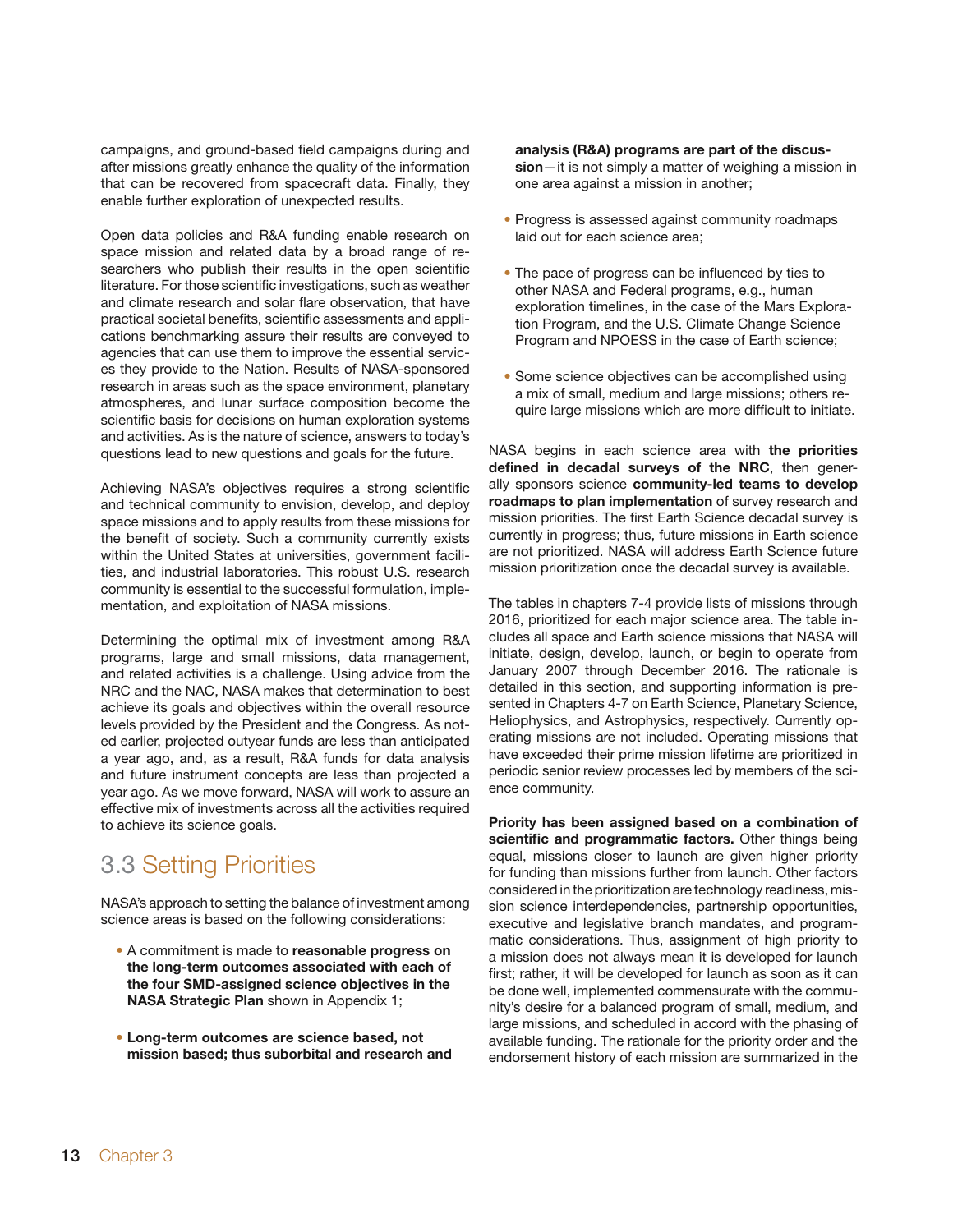campaigns, and ground-based field campaigns during and after missions greatly enhance the quality of the information that can be recovered from spacecraft data. Finally, they enable further exploration of unexpected results.

Open data policies and R&A funding enable research on space mission and related data by a broad range of researchers who publish their results in the open scientific literature. For those scientific investigations, such as weather and climate research and solar flare observation, that have practical societal benefits, scientific assessments and applications benchmarking assure their results are conveyed to agencies that can use them to improve the essential services they provide to the Nation. Results of NASA-sponsored research in areas such as the space environment, planetary atmospheres, and lunar surface composition become the scientific basis for decisions on human exploration systems and activities. As is the nature of science, answers to today's questions lead to new questions and goals for the future.

Achieving NASA's objectives requires a strong scientific and technical community to envision, develop, and deploy space missions and to apply results from these missions for the benefit of society. Such a community currently exists within the United States at universities, government facilities, and industrial laboratories. This robust U.S. research community is essential to the successful formulation, implementation, and exploitation of NASA missions.

Determining the optimal mix of investment among R&A programs, large and small missions, data management, and related activities is a challenge. Using advice from the NRC and the NAC, NASA makes that determination to best achieve its goals and objectives within the overall resource levels provided by the President and the Congress. As noted earlier, projected outyear funds are less than anticipated a year ago, and, as a result, R&A funds for data analysis and future instrument concepts are less than projected a year ago. As we move forward, NASA will work to assure an effective mix of investments across all the activities required to achieve its science goals.

## 3.3 Setting Priorities

NASA's approach to setting the balance of investment among science areas is based on the following considerations:

- A commitment is made to **reasonable progress on the long-term outcomes associated with each of the four SMD-assigned science objectives in the NASA Strategic Plan** shown in Appendix 1;
- **Long-term outcomes are science based, not mission based; thus suborbital and research and**

**analysis (R&A) programs are part of the discussion**—it is not simply a matter of weighing a mission in one area against a mission in another;

- Progress is assessed against community roadmaps laid out for each science area;
- The pace of progress can be influenced by ties to other NASA and Federal programs, e.g., human exploration timelines, in the case of the Mars Exploration Program, and the U.S. Climate Change Science Program and NPOESS in the case of Earth science;
- Some science objectives can be accomplished using a mix of small, medium and large missions; others require large missions which are more difficult to initiate.

NASA begins in each science area with **the priorities defined in decadal surveys of the NRC**, then generally sponsors science **community-led teams to develop roadmaps to plan implementation** of survey research and mission priorities. The first Earth Science decadal survey is currently in progress; thus, future missions in Earth science are not prioritized. NASA will address Earth Science future mission prioritization once the decadal survey is available.

The tables in chapters 7-4 provide lists of missions through 2016, prioritized for each major science area. The table includes all space and Earth science missions that NASA will initiate, design, develop, launch, or begin to operate from January 2007 through December 2016. The rationale is detailed in this section, and supporting information is presented in Chapters 4-7 on Earth Science, Planetary Science, Heliophysics, and Astrophysics, respectively. Currently operating missions are not included. Operating missions that have exceeded their prime mission lifetime are prioritized in periodic senior review processes led by members of the science community.

**Priority has been assigned based on a combination of scientific and programmatic factors.** Other things being equal, missions closer to launch are given higher priority for funding than missions further from launch. Other factors considered in the prioritization are technology readiness, mission science interdependencies, partnership opportunities, executive and legislative branch mandates, and programmatic considerations. Thus, assignment of high priority to a mission does not always mean it is developed for launch first; rather, it will be developed for launch as soon as it can be done well, implemented commensurate with the community's desire for a balanced program of small, medium, and large missions, and scheduled in accord with the phasing of available funding. The rationale for the priority order and the endorsement history of each mission are summarized in the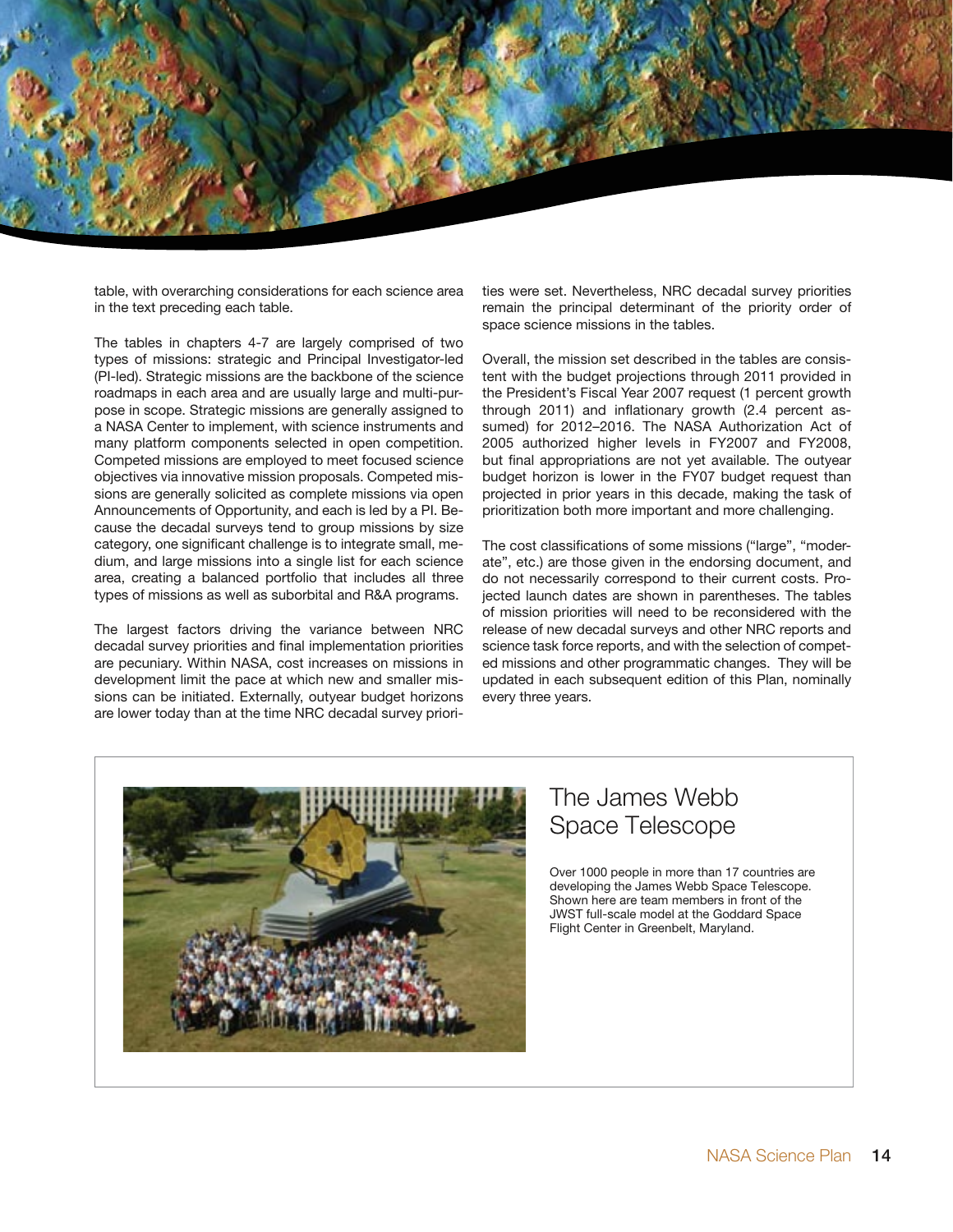

table, with overarching considerations for each science area in the text preceding each table.

The tables in chapters 4-7 are largely comprised of two types of missions: strategic and Principal Investigator-led (PI-led). Strategic missions are the backbone of the science roadmaps in each area and are usually large and multi-purpose in scope. Strategic missions are generally assigned to a NASA Center to implement, with science instruments and many platform components selected in open competition. Competed missions are employed to meet focused science objectives via innovative mission proposals. Competed missions are generally solicited as complete missions via open Announcements of Opportunity, and each is led by a PI. Because the decadal surveys tend to group missions by size category, one significant challenge is to integrate small, medium, and large missions into a single list for each science area, creating a balanced portfolio that includes all three types of missions as well as suborbital and R&A programs.

The largest factors driving the variance between NRC decadal survey priorities and final implementation priorities are pecuniary. Within NASA, cost increases on missions in development limit the pace at which new and smaller missions can be initiated. Externally, outyear budget horizons are lower today than at the time NRC decadal survey priorities were set. Nevertheless, NRC decadal survey priorities remain the principal determinant of the priority order of space science missions in the tables.

Overall, the mission set described in the tables are consistent with the budget projections through 2011 provided in the President's Fiscal Year 2007 request (1 percent growth through 2011) and inflationary growth (2.4 percent assumed) for 2012–2016. The NASA Authorization Act of 2005 authorized higher levels in FY2007 and FY2008, but final appropriations are not yet available. The outyear budget horizon is lower in the FY07 budget request than projected in prior years in this decade, making the task of prioritization both more important and more challenging.

The cost classifications of some missions ("large", "moderate", etc.) are those given in the endorsing document, and do not necessarily correspond to their current costs. Projected launch dates are shown in parentheses. The tables of mission priorities will need to be reconsidered with the release of new decadal surveys and other NRC reports and science task force reports, and with the selection of competed missions and other programmatic changes. They will be updated in each subsequent edition of this Plan, nominally every three years.



## The James Webb Space Telescope

Over 1000 people in more than 17 countries are developing the James Webb Space Telescope. Shown here are team members in front of the JWST full-scale model at the Goddard Space Flight Center in Greenbelt, Maryland.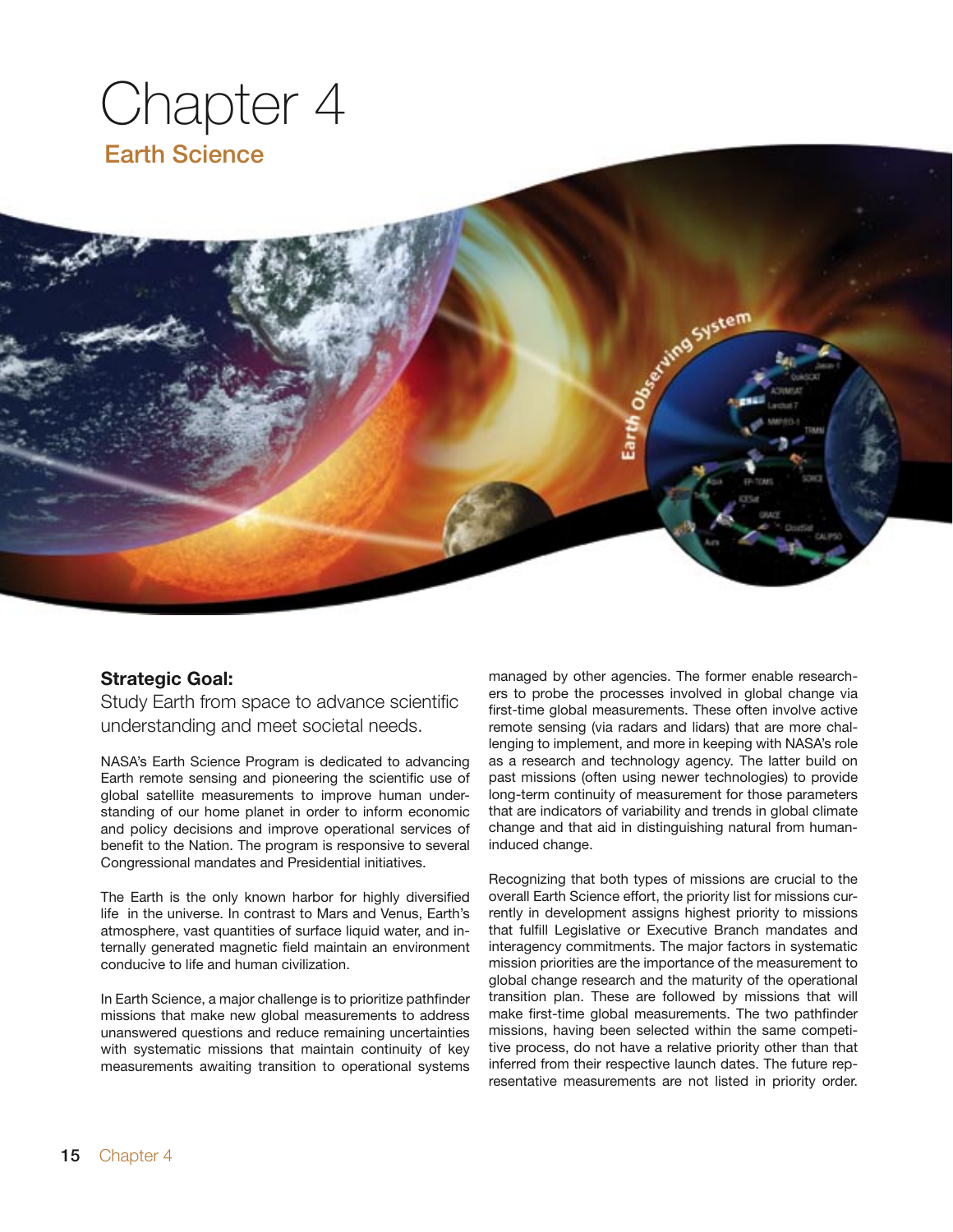

### **Strategic Goal:**

Study Earth from space to advance scientific understanding and meet societal needs.

NASA's Earth Science Program is dedicated to advancing Earth remote sensing and pioneering the scientific use of global satellite measurements to improve human understanding of our home planet in order to inform economic and policy decisions and improve operational services of benefit to the Nation. The program is responsive to several Congressional mandates and Presidential initiatives.

The Earth is the only known harbor for highly diversified life in the universe. In contrast to Mars and Venus, Earth's atmosphere, vast quantities of surface liquid water, and internally generated magnetic field maintain an environment conducive to life and human civilization.

In Earth Science, a major challenge is to prioritize pathfinder missions that make new global measurements to address unanswered questions and reduce remaining uncertainties with systematic missions that maintain continuity of key measurements awaiting transition to operational systems

managed by other agencies. The former enable researchers to probe the processes involved in global change via first-time global measurements. These often involve active remote sensing (via radars and lidars) that are more challenging to implement, and more in keeping with NASA's role as a research and technology agency. The latter build on past missions (often using newer technologies) to provide long-term continuity of measurement for those parameters that are indicators of variability and trends in global climate change and that aid in distinguishing natural from humaninduced change.

Recognizing that both types of missions are crucial to the overall Earth Science effort, the priority list for missions currently in development assigns highest priority to missions that fulfill Legislative or Executive Branch mandates and interagency commitments. The major factors in systematic mission priorities are the importance of the measurement to global change research and the maturity of the operational transition plan. These are followed by missions that will make first-time global measurements. The two pathfinder missions, having been selected within the same competitive process, do not have a relative priority other than that inferred from their respective launch dates. The future representative measurements are not listed in priority order.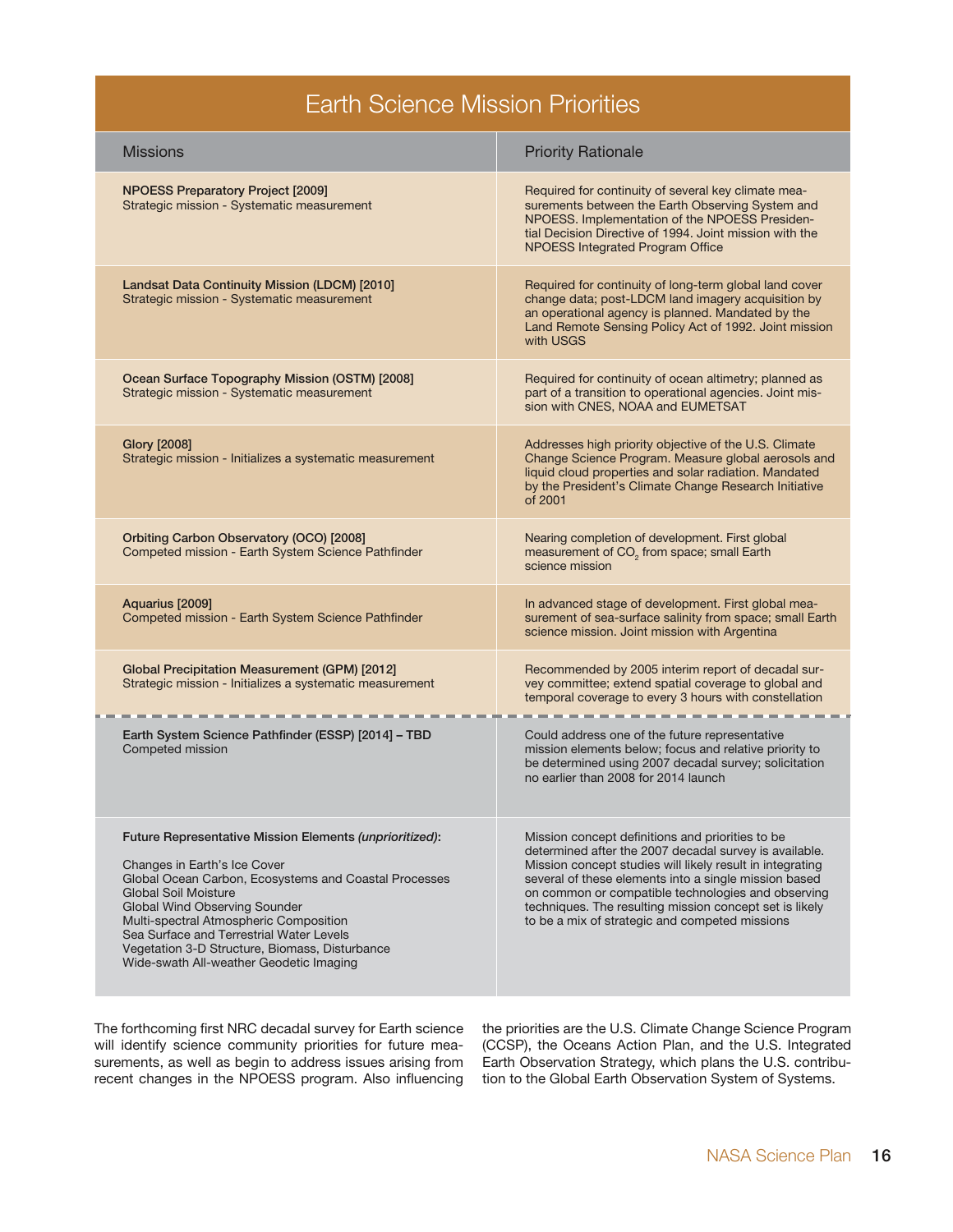## Earth Science Mission Priorities

| <b>Missions</b>                                                                                                                                                                                                                                                                                                                                                                                     | <b>Priority Rationale</b>                                                                                                                                                                                                                                                                                                                                                                           |
|-----------------------------------------------------------------------------------------------------------------------------------------------------------------------------------------------------------------------------------------------------------------------------------------------------------------------------------------------------------------------------------------------------|-----------------------------------------------------------------------------------------------------------------------------------------------------------------------------------------------------------------------------------------------------------------------------------------------------------------------------------------------------------------------------------------------------|
| NPOESS Preparatory Project [2009]<br>Strategic mission - Systematic measurement                                                                                                                                                                                                                                                                                                                     | Required for continuity of several key climate mea-<br>surements between the Earth Observing System and<br>NPOESS. Implementation of the NPOESS Presiden-<br>tial Decision Directive of 1994. Joint mission with the<br>NPOESS Integrated Program Office                                                                                                                                            |
| Landsat Data Continuity Mission (LDCM) [2010]<br>Strategic mission - Systematic measurement                                                                                                                                                                                                                                                                                                         | Required for continuity of long-term global land cover<br>change data; post-LDCM land imagery acquisition by<br>an operational agency is planned. Mandated by the<br>Land Remote Sensing Policy Act of 1992. Joint mission<br>with USGS                                                                                                                                                             |
| Ocean Surface Topography Mission (OSTM) [2008]<br>Strategic mission - Systematic measurement                                                                                                                                                                                                                                                                                                        | Required for continuity of ocean altimetry; planned as<br>part of a transition to operational agencies. Joint mis-<br>sion with CNES, NOAA and EUMETSAT                                                                                                                                                                                                                                             |
| Glory [2008]<br>Strategic mission - Initializes a systematic measurement                                                                                                                                                                                                                                                                                                                            | Addresses high priority objective of the U.S. Climate<br>Change Science Program. Measure global aerosols and<br>liquid cloud properties and solar radiation. Mandated<br>by the President's Climate Change Research Initiative<br>of 2001                                                                                                                                                           |
| Orbiting Carbon Observatory (OCO) [2008]<br>Competed mission - Earth System Science Pathfinder                                                                                                                                                                                                                                                                                                      | Nearing completion of development. First global<br>measurement of CO <sub>2</sub> from space; small Earth<br>science mission                                                                                                                                                                                                                                                                        |
| Aquarius [2009]<br>Competed mission - Earth System Science Pathfinder                                                                                                                                                                                                                                                                                                                               | In advanced stage of development. First global mea-<br>surement of sea-surface salinity from space; small Earth<br>science mission. Joint mission with Argentina                                                                                                                                                                                                                                    |
| <b>Global Precipitation Measurement (GPM) [2012]</b><br>Strategic mission - Initializes a systematic measurement                                                                                                                                                                                                                                                                                    | Recommended by 2005 interim report of decadal sur-<br>vey committee; extend spatial coverage to global and<br>temporal coverage to every 3 hours with constellation                                                                                                                                                                                                                                 |
| Earth System Science Pathfinder (ESSP) [2014] - TBD<br>Competed mission                                                                                                                                                                                                                                                                                                                             | Could address one of the future representative<br>mission elements below; focus and relative priority to<br>be determined using 2007 decadal survey; solicitation<br>no earlier than 2008 for 2014 launch                                                                                                                                                                                           |
| Future Representative Mission Elements (unprioritized):<br>Changes in Earth's Ice Cover<br>Global Ocean Carbon, Ecosystems and Coastal Processes<br><b>Global Soil Moisture</b><br>Global Wind Observing Sounder<br>Multi-spectral Atmospheric Composition<br>Sea Surface and Terrestrial Water Levels<br>Vegetation 3-D Structure, Biomass, Disturbance<br>Wide-swath All-weather Geodetic Imaging | Mission concept definitions and priorities to be<br>determined after the 2007 decadal survey is available.<br>Mission concept studies will likely result in integrating<br>several of these elements into a single mission based<br>on common or compatible technologies and observing<br>techniques. The resulting mission concept set is likely<br>to be a mix of strategic and competed missions |

surements, as well as begin to address issues arising from Earth Observation Strategy, which plans the U.S. contribu-<br>recent changes in the NPOESS program. Also influencing tion to the Global Earth Observation System of Sy recent changes in the NPOESS program. Also influencing

The forthcoming first NRC decadal survey for Earth science the priorities are the U.S. Climate Change Science Program will identify science community priorities for future mea- (CCSP), the Oceans Action Plan, and the U.S. (CCSP), the Oceans Action Plan, and the U.S. Integrated<br>Earth Observation Strategy, which plans the U.S. contribu-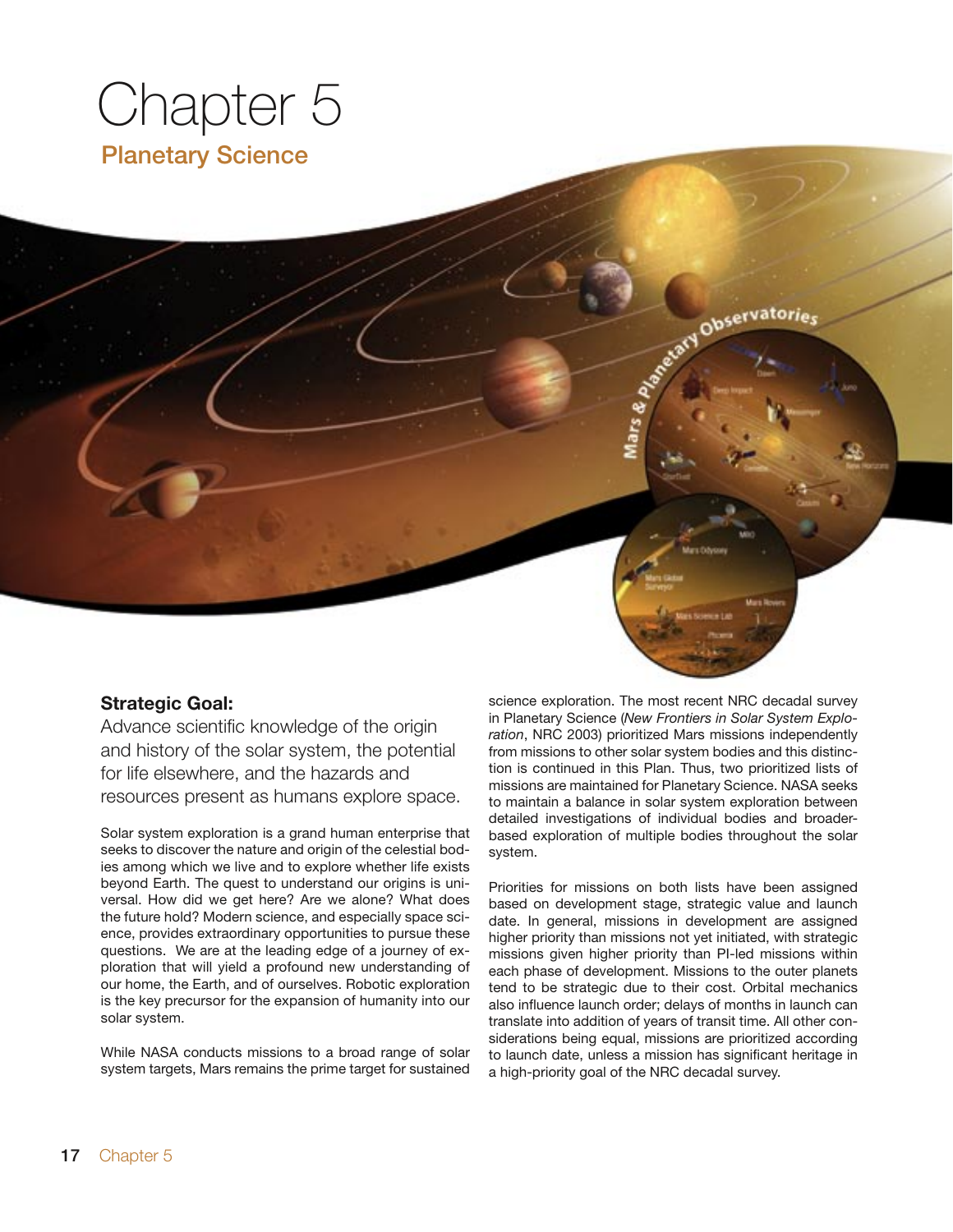# Chapter 5 Planetary Science

#### **Strategic Goal:**

Advance scientific knowledge of the origin and history of the solar system, the potential for life elsewhere, and the hazards and resources present as humans explore space.

Solar system exploration is a grand human enterprise that seeks to discover the nature and origin of the celestial bodies among which we live and to explore whether life exists beyond Earth. The quest to understand our origins is universal. How did we get here? Are we alone? What does the future hold? Modern science, and especially space science, provides extraordinary opportunities to pursue these questions. We are at the leading edge of a journey of exploration that will yield a profound new understanding of our home, the Earth, and of ourselves. Robotic exploration is the key precursor for the expansion of humanity into our solar system.

While NASA conducts missions to a broad range of solar system targets, Mars remains the prime target for sustained

science exploration. The most recent NRC decadal survey in Planetary Science (*New Frontiers in Solar System Exploration*, NRC 2003) prioritized Mars missions independently from missions to other solar system bodies and this distinction is continued in this Plan. Thus, two prioritized lists of missions are maintained for Planetary Science. NASA seeks to maintain a balance in solar system exploration between detailed investigations of individual bodies and broaderbased exploration of multiple bodies throughout the solar system.

Accord Observatories

Priorities for missions on both lists have been assigned based on development stage, strategic value and launch date. In general, missions in development are assigned higher priority than missions not yet initiated, with strategic missions given higher priority than PI-led missions within each phase of development. Missions to the outer planets tend to be strategic due to their cost. Orbital mechanics also influence launch order; delays of months in launch can translate into addition of years of transit time. All other considerations being equal, missions are prioritized according to launch date, unless a mission has significant heritage in a high-priority goal of the NRC decadal survey.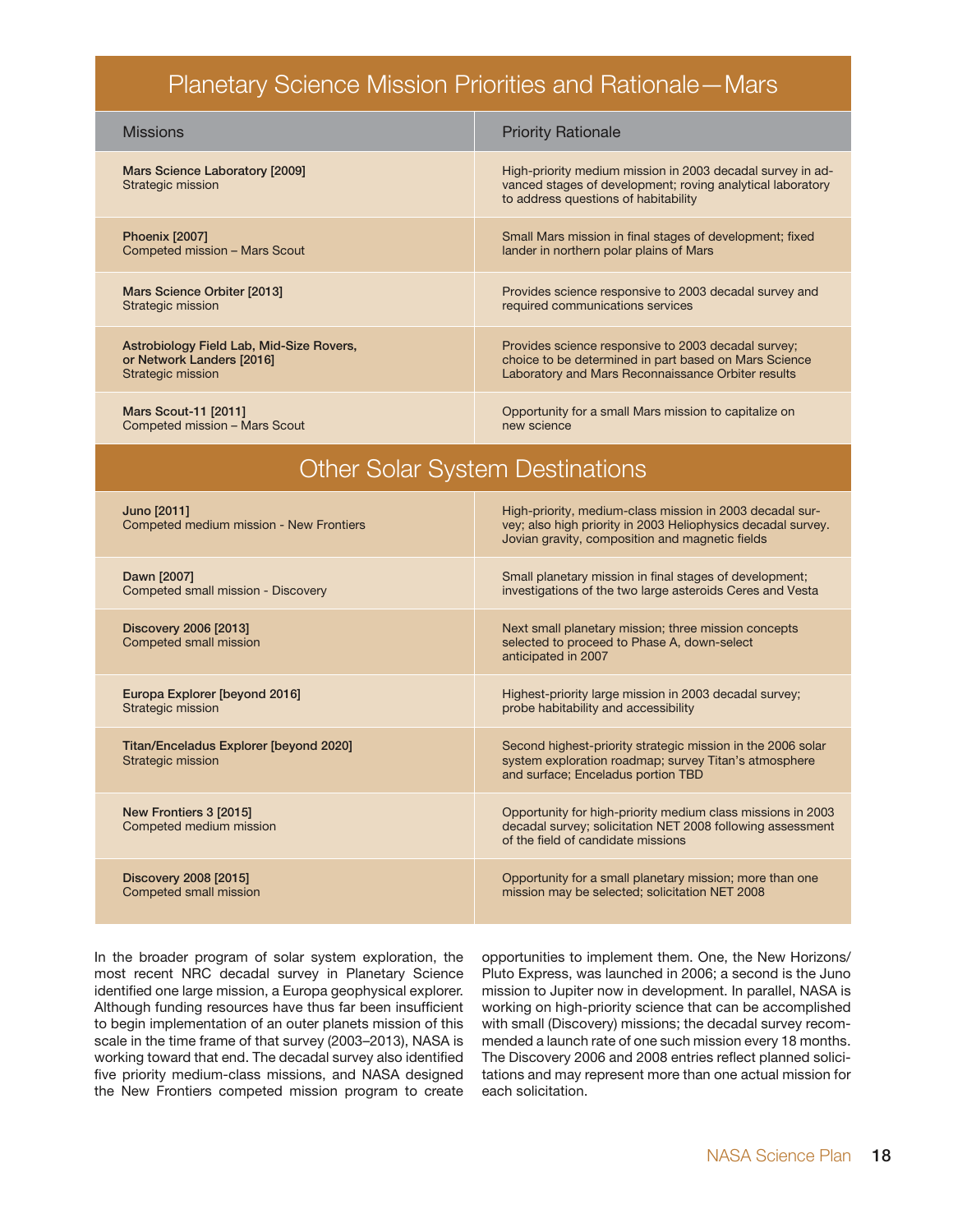## Planetary Science Mission Priorities and Rationale—Mars

| <b>Missions</b>                                                                            | <b>Priority Rationale</b>                                                                                                                                                   |  |
|--------------------------------------------------------------------------------------------|-----------------------------------------------------------------------------------------------------------------------------------------------------------------------------|--|
| Mars Science Laboratory [2009]<br>Strategic mission                                        | High-priority medium mission in 2003 decadal survey in ad-<br>vanced stages of development; roving analytical laboratory<br>to address questions of habitability            |  |
| <b>Phoenix [2007]</b><br>Competed mission - Mars Scout                                     | Small Mars mission in final stages of development; fixed<br>lander in northern polar plains of Mars                                                                         |  |
| Mars Science Orbiter [2013]<br>Strategic mission                                           | Provides science responsive to 2003 decadal survey and<br>required communications services                                                                                  |  |
| Astrobiology Field Lab, Mid-Size Rovers,<br>or Network Landers [2016]<br>Strategic mission | Provides science responsive to 2003 decadal survey;<br>choice to be determined in part based on Mars Science<br>Laboratory and Mars Reconnaissance Orbiter results          |  |
| Mars Scout-11 [2011]<br>Competed mission - Mars Scout                                      | Opportunity for a small Mars mission to capitalize on<br>new science                                                                                                        |  |
| <b>Other Solar System Destinations</b>                                                     |                                                                                                                                                                             |  |
| Juno [2011]<br>Competed medium mission - New Frontiers                                     | High-priority, medium-class mission in 2003 decadal sur-<br>vey; also high priority in 2003 Heliophysics decadal survey.<br>Jovian gravity, composition and magnetic fields |  |
| Dawn [2007]<br>Competed small mission - Discovery                                          | Small planetary mission in final stages of development;<br>investigations of the two large asteroids Ceres and Vesta                                                        |  |
| Discovery 2006 [2013]<br>Competed small mission                                            | Next small planetary mission; three mission concepts<br>selected to proceed to Phase A, down-select<br>anticipated in 2007                                                  |  |
| Europa Explorer [beyond 2016]<br>Strategic mission                                         | Highest-priority large mission in 2003 decadal survey;<br>probe habitability and accessibility                                                                              |  |
| Titan/Enceladus Explorer [beyond 2020]<br>Strategic mission                                | Second highest-priority strategic mission in the 2006 solar<br>system exploration roadmap; survey Titan's atmosphere<br>and surface; Enceladus portion TBD                  |  |
| New Frontiers 3 [2015]<br>Competed medium mission                                          | Opportunity for high-priority medium class missions in 2003<br>decadal survey; solicitation NET 2008 following assessment<br>of the field of candidate missions             |  |

Discovery 2008 [2015] Competed small mission Opportunity for a small planetary mission; more than one mission may be selected; solicitation NET 2008

In the broader program of solar system exploration, the most recent NRC decadal survey in Planetary Science identified one large mission, a Europa geophysical explorer. Although funding resources have thus far been insufficient to begin implementation of an outer planets mission of this scale in the time frame of that survey (2003–2013), NASA is working toward that end. The decadal survey also identified five priority medium-class missions, and NASA designed the New Frontiers competed mission program to create

opportunities to implement them. One, the New Horizons/ Pluto Express, was launched in 2006; a second is the Juno mission to Jupiter now in development. In parallel, NASA is working on high-priority science that can be accomplished with small (Discovery) missions; the decadal survey recommended a launch rate of one such mission every 18 months. The Discovery 2006 and 2008 entries reflect planned solicitations and may represent more than one actual mission for each solicitation.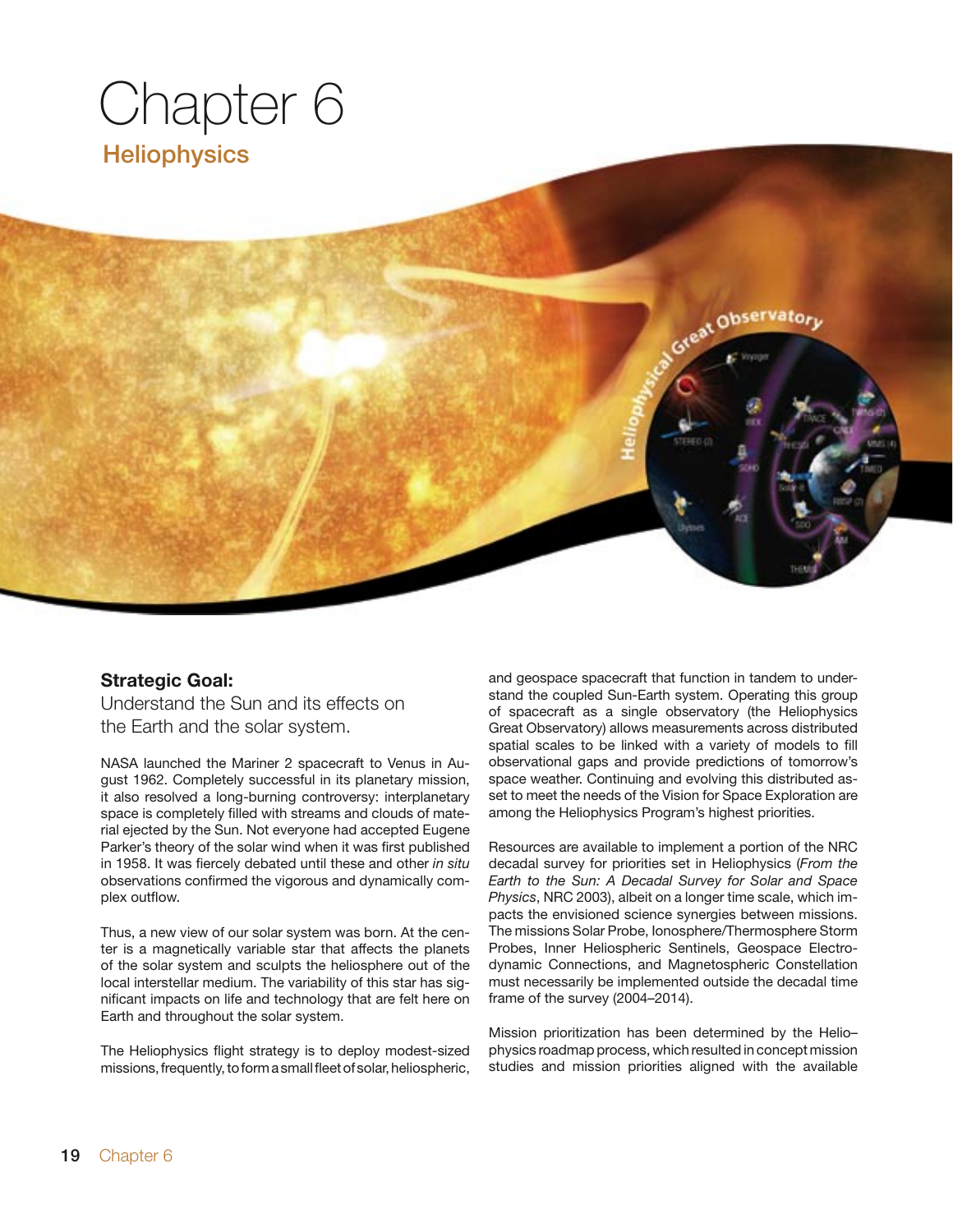# Chapter 6 **Heliophysics**

#### **Strategic Goal:**

Understand the Sun and its effects on the Earth and the solar system.

NASA launched the Mariner 2 spacecraft to Venus in August 1962. Completely successful in its planetary mission, it also resolved a long-burning controversy: interplanetary space is completely filled with streams and clouds of material ejected by the Sun. Not everyone had accepted Eugene Parker's theory of the solar wind when it was first published in 1958. It was fiercely debated until these and other *in situ* observations confirmed the vigorous and dynamically complex outflow.

Thus, a new view of our solar system was born. At the center is a magnetically variable star that affects the planets of the solar system and sculpts the heliosphere out of the local interstellar medium. The variability of this star has significant impacts on life and technology that are felt here on Earth and throughout the solar system.

The Heliophysics flight strategy is to deploy modest-sized missions, frequently, to form a small fleet of solar, heliospheric, and geospace spacecraft that function in tandem to understand the coupled Sun-Earth system. Operating this group of spacecraft as a single observatory (the Heliophysics Great Observatory) allows measurements across distributed spatial scales to be linked with a variety of models to fill observational gaps and provide predictions of tomorrow's space weather. Continuing and evolving this distributed asset to meet the needs of the Vision for Space Exploration are among the Heliophysics Program's highest priorities.

Great Observatory

Resources are available to implement a portion of the NRC decadal survey for priorities set in Heliophysics (*From the Earth to the Sun: A Decadal Survey for Solar and Space Physics*, NRC 2003), albeit on a longer time scale, which impacts the envisioned science synergies between missions. The missions Solar Probe, Ionosphere/Thermosphere Storm Probes, Inner Heliospheric Sentinels, Geospace Electrodynamic Connections, and Magnetospheric Constellation must necessarily be implemented outside the decadal time frame of the survey (2004–2014).

Mission prioritization has been determined by the Helio– physics roadmap process, which resulted in concept mission studies and mission priorities aligned with the available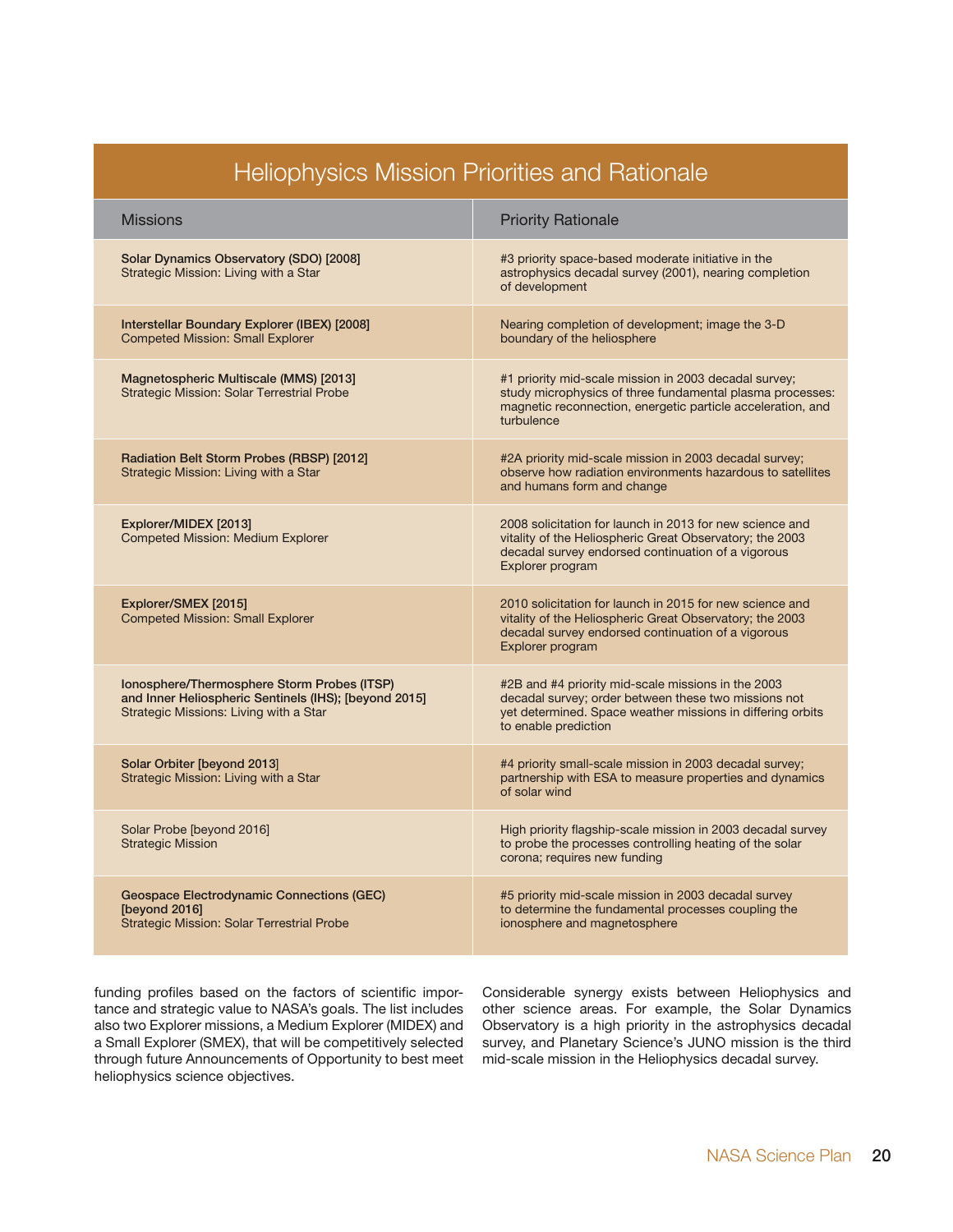| <b>Heliophysics Mission Priorities and Rationale</b>                                                                                           |                                                                                                                                                                                                  |  |  |  |
|------------------------------------------------------------------------------------------------------------------------------------------------|--------------------------------------------------------------------------------------------------------------------------------------------------------------------------------------------------|--|--|--|
| <b>Missions</b>                                                                                                                                | <b>Priority Rationale</b>                                                                                                                                                                        |  |  |  |
| Solar Dynamics Observatory (SDO) [2008]<br>Strategic Mission: Living with a Star                                                               | #3 priority space-based moderate initiative in the<br>astrophysics decadal survey (2001), nearing completion<br>of development                                                                   |  |  |  |
| Interstellar Boundary Explorer (IBEX) [2008]<br><b>Competed Mission: Small Explorer</b>                                                        | Nearing completion of development; image the 3-D<br>boundary of the heliosphere                                                                                                                  |  |  |  |
| Magnetospheric Multiscale (MMS) [2013]<br><b>Strategic Mission: Solar Terrestrial Probe</b>                                                    | #1 priority mid-scale mission in 2003 decadal survey;<br>study microphysics of three fundamental plasma processes:<br>magnetic reconnection, energetic particle acceleration, and<br>turbulence  |  |  |  |
| Radiation Belt Storm Probes (RBSP) [2012]<br>Strategic Mission: Living with a Star                                                             | #2A priority mid-scale mission in 2003 decadal survey;<br>observe how radiation environments hazardous to satellites<br>and humans form and change                                               |  |  |  |
| Explorer/MIDEX [2013]<br><b>Competed Mission: Medium Explorer</b>                                                                              | 2008 solicitation for launch in 2013 for new science and<br>vitality of the Heliospheric Great Observatory; the 2003<br>decadal survey endorsed continuation of a vigorous<br>Explorer program   |  |  |  |
| Explorer/SMEX [2015]<br><b>Competed Mission: Small Explorer</b>                                                                                | 2010 solicitation for launch in 2015 for new science and<br>vitality of the Heliospheric Great Observatory; the 2003<br>decadal survey endorsed continuation of a vigorous<br>Explorer program   |  |  |  |
| Ionosphere/Thermosphere Storm Probes (ITSP)<br>and Inner Heliospheric Sentinels (IHS); [beyond 2015]<br>Strategic Missions: Living with a Star | #2B and #4 priority mid-scale missions in the 2003<br>decadal survey; order between these two missions not<br>yet determined. Space weather missions in differing orbits<br>to enable prediction |  |  |  |
| Solar Orbiter [beyond 2013]<br>Strategic Mission: Living with a Star                                                                           | #4 priority small-scale mission in 2003 decadal survey;<br>partnership with ESA to measure properties and dynamics<br>of solar wind                                                              |  |  |  |
| Solar Probe [beyond 2016]<br><b>Strategic Mission</b>                                                                                          | High priority flagship-scale mission in 2003 decadal survey<br>to probe the processes controlling heating of the solar<br>corona; requires new funding                                           |  |  |  |
| Geospace Electrodynamic Connections (GEC)<br>[beyond 2016]<br><b>Strategic Mission: Solar Terrestrial Probe</b>                                | #5 priority mid-scale mission in 2003 decadal survey<br>to determine the fundamental processes coupling the<br>ionosphere and magnetosphere                                                      |  |  |  |

funding profiles based on the factors of scientific importance and strategic value to NASA's goals. The list includes also two Explorer missions, a Medium Explorer (MIDEX) and a Small Explorer (SMEX), that will be competitively selected through future Announcements of Opportunity to best meet heliophysics science objectives.

Considerable synergy exists between Heliophysics and other science areas. For example, the Solar Dynamics Observatory is a high priority in the astrophysics decadal survey, and Planetary Science's JUNO mission is the third mid-scale mission in the Heliophysics decadal survey.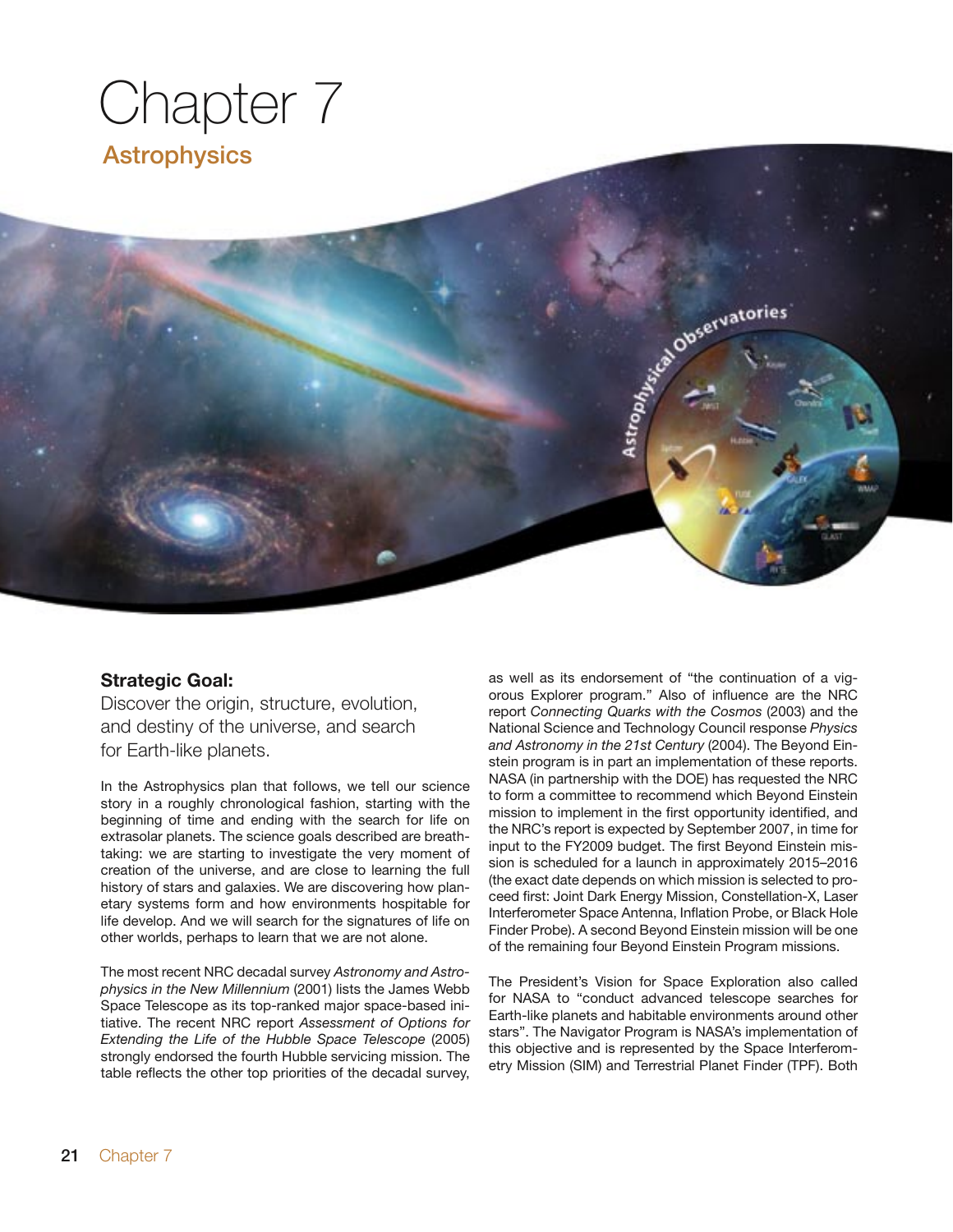# Chapter 7 Astrophysics

#### **Strategic Goal:**

Discover the origin, structure, evolution, and destiny of the universe, and search for Earth-like planets.

In the Astrophysics plan that follows, we tell our science story in a roughly chronological fashion, starting with the beginning of time and ending with the search for life on extrasolar planets. The science goals described are breathtaking: we are starting to investigate the very moment of creation of the universe, and are close to learning the full history of stars and galaxies. We are discovering how planetary systems form and how environments hospitable for life develop. And we will search for the signatures of life on other worlds, perhaps to learn that we are not alone.

The most recent NRC decadal survey *Astronomy and Astrophysics in the New Millennium* (2001) lists the James Webb Space Telescope as its top-ranked major space-based initiative. The recent NRC report *Assessment of Options for Extending the Life of the Hubble Space Telescope* (2005) strongly endorsed the fourth Hubble servicing mission. The table reflects the other top priorities of the decadal survey,

as well as its endorsement of "the continuation of a vigorous Explorer program." Also of influence are the NRC report *Connecting Quarks with the Cosmos* (2003) and the National Science and Technology Council response *Physics and Astronomy in the 21st Century* (2004). The Beyond Einstein program is in part an implementation of these reports. NASA (in partnership with the DOE) has requested the NRC to form a committee to recommend which Beyond Einstein mission to implement in the first opportunity identified, and the NRC's report is expected by September 2007, in time for input to the FY2009 budget. The first Beyond Einstein mission is scheduled for a launch in approximately 2015–2016 (the exact date depends on which mission is selected to proceed first: Joint Dark Energy Mission, Constellation-X, Laser Interferometer Space Antenna, Inflation Probe, or Black Hole Finder Probe). A second Beyond Einstein mission will be one of the remaining four Beyond Einstein Program missions.

Astrophysical Observatories

The President's Vision for Space Exploration also called for NASA to "conduct advanced telescope searches for Earth-like planets and habitable environments around other stars". The Navigator Program is NASA's implementation of this objective and is represented by the Space Interferometry Mission (SIM) and Terrestrial Planet Finder (TPF). Both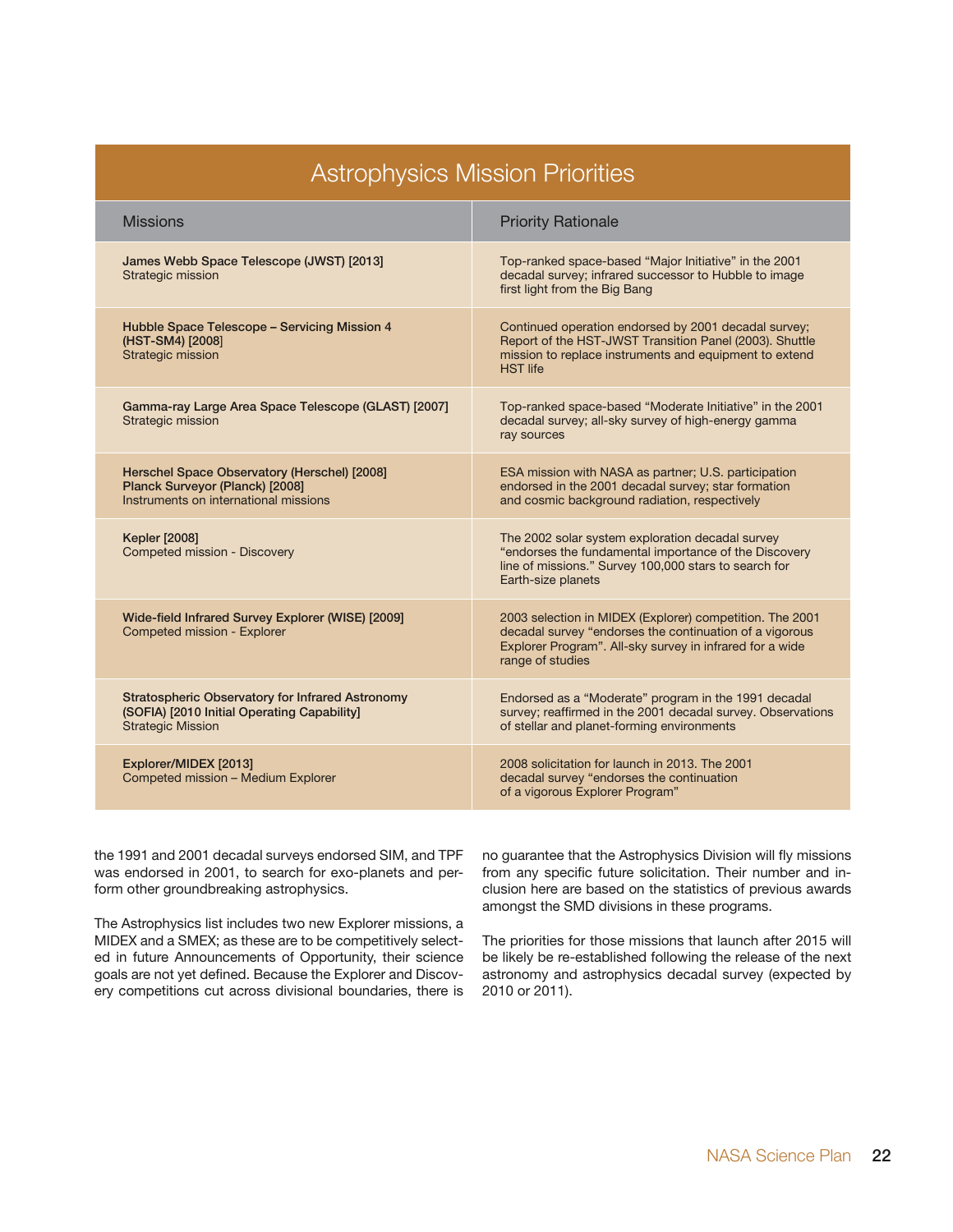| <b>Astrophysics Mission Priorities</b>                                                                                             |                                                                                                                                                                                                     |  |  |  |
|------------------------------------------------------------------------------------------------------------------------------------|-----------------------------------------------------------------------------------------------------------------------------------------------------------------------------------------------------|--|--|--|
| <b>Missions</b>                                                                                                                    | <b>Priority Rationale</b>                                                                                                                                                                           |  |  |  |
| James Webb Space Telescope (JWST) [2013]<br>Strategic mission                                                                      | Top-ranked space-based "Major Initiative" in the 2001<br>decadal survey; infrared successor to Hubble to image<br>first light from the Big Bang                                                     |  |  |  |
| Hubble Space Telescope - Servicing Mission 4<br>(HST-SM4) [2008]<br>Strategic mission                                              | Continued operation endorsed by 2001 decadal survey;<br>Report of the HST-JWST Transition Panel (2003). Shuttle<br>mission to replace instruments and equipment to extend<br><b>HST</b> life        |  |  |  |
| Gamma-ray Large Area Space Telescope (GLAST) [2007]<br>Strategic mission                                                           | Top-ranked space-based "Moderate Initiative" in the 2001<br>decadal survey; all-sky survey of high-energy gamma<br>ray sources                                                                      |  |  |  |
| Herschel Space Observatory (Herschel) [2008]<br>Planck Surveyor (Planck) [2008]<br>Instruments on international missions           | ESA mission with NASA as partner; U.S. participation<br>endorsed in the 2001 decadal survey; star formation<br>and cosmic background radiation, respectively                                        |  |  |  |
| <b>Kepler [2008]</b><br><b>Competed mission - Discovery</b>                                                                        | The 2002 solar system exploration decadal survey<br>"endorses the fundamental importance of the Discovery<br>line of missions." Survey 100,000 stars to search for<br>Earth-size planets            |  |  |  |
| Wide-field Infrared Survey Explorer (WISE) [2009]<br>Competed mission - Explorer                                                   | 2003 selection in MIDEX (Explorer) competition. The 2001<br>decadal survey "endorses the continuation of a vigorous<br>Explorer Program". All-sky survey in infrared for a wide<br>range of studies |  |  |  |
| <b>Stratospheric Observatory for Infrared Astronomy</b><br>(SOFIA) [2010 Initial Operating Capability]<br><b>Strategic Mission</b> | Endorsed as a "Moderate" program in the 1991 decadal<br>survey; reaffirmed in the 2001 decadal survey. Observations<br>of stellar and planet-forming environments                                   |  |  |  |
| Explorer/MIDEX [2013]<br>Competed mission - Medium Explorer                                                                        | 2008 solicitation for launch in 2013. The 2001<br>decadal survey "endorses the continuation<br>of a vigorous Explorer Program"                                                                      |  |  |  |

the 1991 and 2001 decadal surveys endorsed SIM, and TPF was endorsed in 2001, to search for exo-planets and perform other groundbreaking astrophysics.

The Astrophysics list includes two new Explorer missions, a MIDEX and a SMEX; as these are to be competitively selected in future Announcements of Opportunity, their science goals are not yet defined. Because the Explorer and Discovery competitions cut across divisional boundaries, there is no guarantee that the Astrophysics Division will fly missions from any specific future solicitation. Their number and inclusion here are based on the statistics of previous awards amongst the SMD divisions in these programs.

The priorities for those missions that launch after 2015 will be likely be re-established following the release of the next astronomy and astrophysics decadal survey (expected by 2010 or 2011).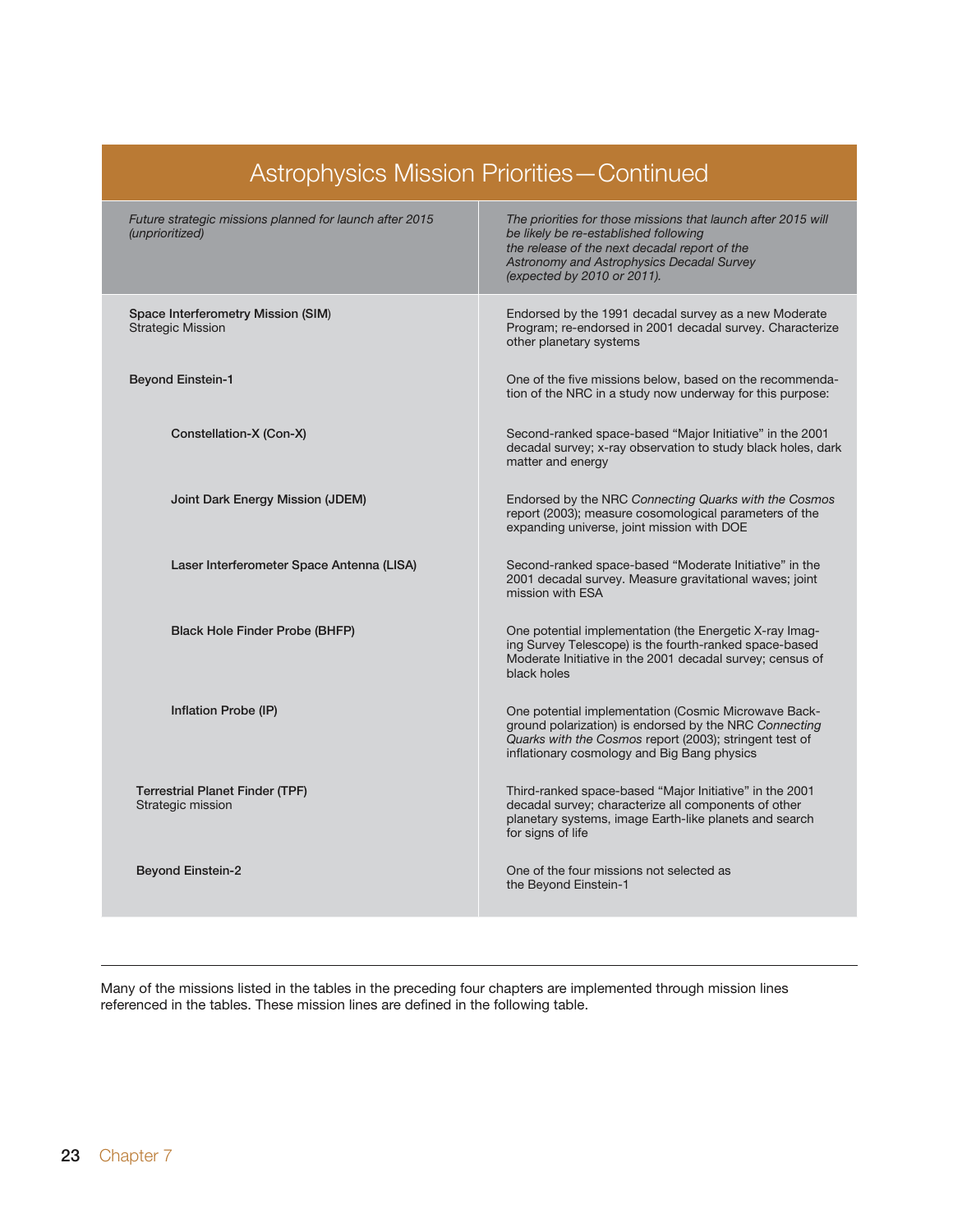| Astrophysics Mission Priorities - Continued                                |                                                                                                                                                                                                                                     |  |  |  |
|----------------------------------------------------------------------------|-------------------------------------------------------------------------------------------------------------------------------------------------------------------------------------------------------------------------------------|--|--|--|
| Future strategic missions planned for launch after 2015<br>(unprioritized) | The priorities for those missions that launch after 2015 will<br>be likely be re-established following<br>the release of the next decadal report of the<br>Astronomy and Astrophysics Decadal Survey<br>(expected by 2010 or 2011). |  |  |  |
| Space Interferometry Mission (SIM)<br><b>Strategic Mission</b>             | Endorsed by the 1991 decadal survey as a new Moderate<br>Program; re-endorsed in 2001 decadal survey. Characterize<br>other planetary systems                                                                                       |  |  |  |
| <b>Beyond Einstein-1</b>                                                   | One of the five missions below, based on the recommenda-<br>tion of the NRC in a study now underway for this purpose:                                                                                                               |  |  |  |
| Constellation-X (Con-X)                                                    | Second-ranked space-based "Major Initiative" in the 2001<br>decadal survey; x-ray observation to study black holes, dark<br>matter and energy                                                                                       |  |  |  |
| Joint Dark Energy Mission (JDEM)                                           | Endorsed by the NRC Connecting Quarks with the Cosmos<br>report (2003); measure cosomological parameters of the<br>expanding universe, joint mission with DOE                                                                       |  |  |  |
| Laser Interferometer Space Antenna (LISA)                                  | Second-ranked space-based "Moderate Initiative" in the<br>2001 decadal survey. Measure gravitational waves; joint<br>mission with ESA                                                                                               |  |  |  |
| <b>Black Hole Finder Probe (BHFP)</b>                                      | One potential implementation (the Energetic X-ray Imag-<br>ing Survey Telescope) is the fourth-ranked space-based<br>Moderate Initiative in the 2001 decadal survey; census of<br>black holes                                       |  |  |  |
| Inflation Probe (IP)                                                       | One potential implementation (Cosmic Microwave Back-<br>ground polarization) is endorsed by the NRC Connecting<br>Quarks with the Cosmos report (2003); stringent test of<br>inflationary cosmology and Big Bang physics            |  |  |  |
| <b>Terrestrial Planet Finder (TPF)</b><br>Strategic mission                | Third-ranked space-based "Major Initiative" in the 2001<br>decadal survey; characterize all components of other<br>planetary systems, image Earth-like planets and search<br>for signs of life                                      |  |  |  |
| <b>Beyond Einstein-2</b>                                                   | One of the four missions not selected as<br>the Beyond Einstein-1                                                                                                                                                                   |  |  |  |

Many of the missions listed in the tables in the preceding four chapters are implemented through mission lines referenced in the tables. These mission lines are defined in the following table.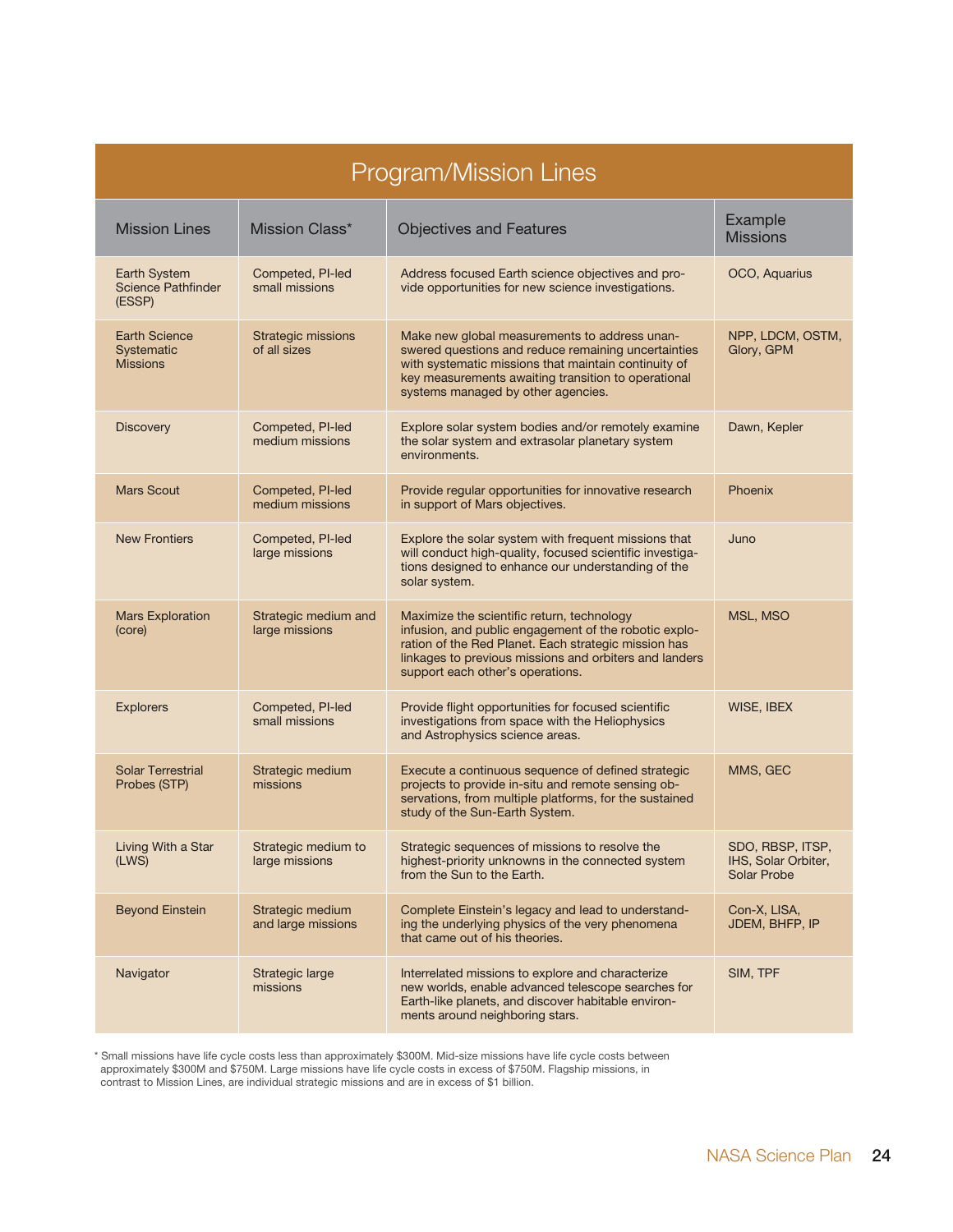| <b>Program/Mission Lines</b>                               |                                           |                                                                                                                                                                                                                                                           |                                                               |  |
|------------------------------------------------------------|-------------------------------------------|-----------------------------------------------------------------------------------------------------------------------------------------------------------------------------------------------------------------------------------------------------------|---------------------------------------------------------------|--|
| <b>Mission Lines</b>                                       | Mission Class*                            | <b>Objectives and Features</b>                                                                                                                                                                                                                            | Example<br><b>Missions</b>                                    |  |
| <b>Earth System</b><br><b>Science Pathfinder</b><br>(ESSP) | Competed, PI-led<br>small missions        | Address focused Earth science objectives and pro-<br>vide opportunities for new science investigations.                                                                                                                                                   | OCO, Aquarius                                                 |  |
| <b>Earth Science</b><br>Systematic<br><b>Missions</b>      | <b>Strategic missions</b><br>of all sizes | Make new global measurements to address unan-<br>swered questions and reduce remaining uncertainties<br>with systematic missions that maintain continuity of<br>key measurements awaiting transition to operational<br>systems managed by other agencies. | NPP, LDCM, OSTM,<br>Glory, GPM                                |  |
| <b>Discovery</b>                                           | Competed, PI-led<br>medium missions       | Explore solar system bodies and/or remotely examine<br>the solar system and extrasolar planetary system<br>environments.                                                                                                                                  | Dawn, Kepler                                                  |  |
| <b>Mars Scout</b>                                          | Competed, PI-led<br>medium missions       | Provide regular opportunities for innovative research<br>in support of Mars objectives.                                                                                                                                                                   | Phoenix                                                       |  |
| <b>New Frontiers</b>                                       | Competed, PI-led<br>large missions        | Explore the solar system with frequent missions that<br>will conduct high-quality, focused scientific investiga-<br>tions designed to enhance our understanding of the<br>solar system.                                                                   | Juno                                                          |  |
| <b>Mars Exploration</b><br>(core)                          | Strategic medium and<br>large missions    | Maximize the scientific return, technology<br>infusion, and public engagement of the robotic explo-<br>ration of the Red Planet. Each strategic mission has<br>linkages to previous missions and orbiters and landers<br>support each other's operations. | MSL, MSO                                                      |  |
| <b>Explorers</b>                                           | Competed, PI-led<br>small missions        | Provide flight opportunities for focused scientific<br>investigations from space with the Heliophysics<br>and Astrophysics science areas.                                                                                                                 | WISE, IBEX                                                    |  |
| <b>Solar Terrestrial</b><br>Probes (STP)                   | Strategic medium<br>missions              | Execute a continuous sequence of defined strategic<br>projects to provide in-situ and remote sensing ob-<br>servations, from multiple platforms, for the sustained<br>study of the Sun-Earth System.                                                      | MMS, GEC                                                      |  |
| Living With a Star<br>(LWS)                                | Strategic medium to<br>large missions     | Strategic sequences of missions to resolve the<br>highest-priority unknowns in the connected system<br>from the Sun to the Earth.                                                                                                                         | SDO, RBSP, ITSP,<br>IHS, Solar Orbiter,<br><b>Solar Probe</b> |  |
| <b>Beyond Einstein</b>                                     | Strategic medium<br>and large missions    | Complete Einstein's legacy and lead to understand-<br>ing the underlying physics of the very phenomena<br>that came out of his theories.                                                                                                                  | Con-X, LISA,<br>JDEM, BHFP, IP                                |  |
| Navigator                                                  | Strategic large<br>missions               | Interrelated missions to explore and characterize<br>new worlds, enable advanced telescope searches for<br>Earth-like planets, and discover habitable environ-<br>ments around neighboring stars.                                                         | SIM, TPF                                                      |  |

\* Small missions have life cycle costs less than approximately \$300M. Mid-size missions have life cycle costs between approximately \$300M and \$750M. Large missions have life cycle costs in excess of \$750M. Flagship missions, in contrast to Mission Lines, are individual strategic missions and are in excess of \$1 billion.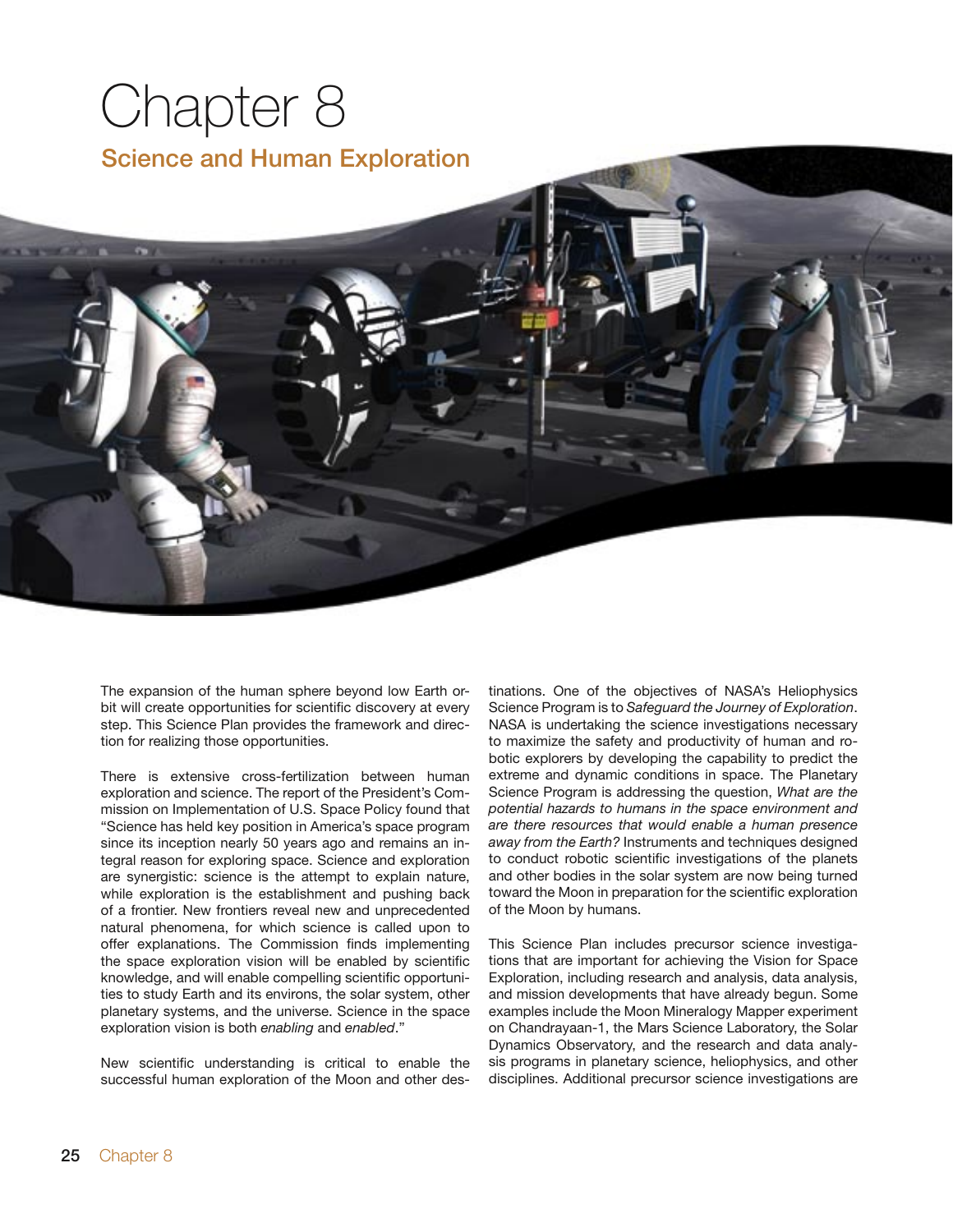# Chapter 8 Science and Human Exploration

The expansion of the human sphere beyond low Earth orbit will create opportunities for scientific discovery at every step. This Science Plan provides the framework and direction for realizing those opportunities.

There is extensive cross-fertilization between human exploration and science. The report of the President's Commission on Implementation of U.S. Space Policy found that "Science has held key position in America's space program since its inception nearly 50 years ago and remains an integral reason for exploring space. Science and exploration are synergistic: science is the attempt to explain nature, while exploration is the establishment and pushing back of a frontier. New frontiers reveal new and unprecedented natural phenomena, for which science is called upon to offer explanations. The Commission finds implementing the space exploration vision will be enabled by scientific knowledge, and will enable compelling scientific opportunities to study Earth and its environs, the solar system, other planetary systems, and the universe. Science in the space exploration vision is both *enabling* and *enabled*."

New scientific understanding is critical to enable the successful human exploration of the Moon and other des-

tinations. One of the objectives of NASA's Heliophysics Science Program is to *Safeguard the Journey of Exploration*. NASA is undertaking the science investigations necessary to maximize the safety and productivity of human and robotic explorers by developing the capability to predict the extreme and dynamic conditions in space. The Planetary Science Program is addressing the question, *What are the potential hazards to humans in the space environment and are there resources that would enable a human presence away from the Earth?* Instruments and techniques designed to conduct robotic scientific investigations of the planets and other bodies in the solar system are now being turned toward the Moon in preparation for the scientific exploration of the Moon by humans.

This Science Plan includes precursor science investigations that are important for achieving the Vision for Space Exploration, including research and analysis, data analysis, and mission developments that have already begun. Some examples include the Moon Mineralogy Mapper experiment on Chandrayaan-1, the Mars Science Laboratory, the Solar Dynamics Observatory, and the research and data analysis programs in planetary science, heliophysics, and other disciplines. Additional precursor science investigations are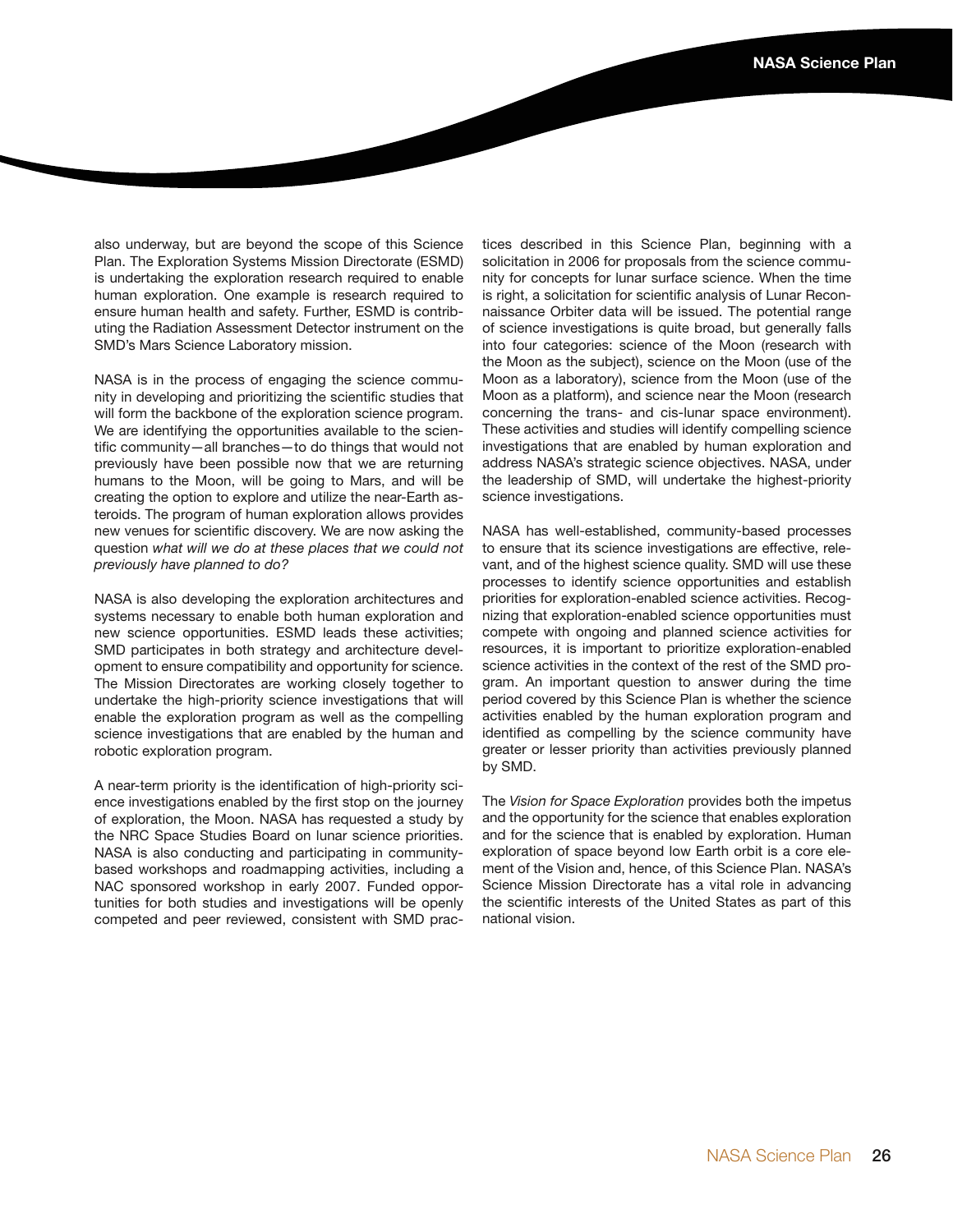also underway, but are beyond the scope of this Science Plan. The Exploration Systems Mission Directorate (ESMD) is undertaking the exploration research required to enable human exploration. One example is research required to ensure human health and safety. Further, ESMD is contributing the Radiation Assessment Detector instrument on the SMD's Mars Science Laboratory mission.

NASA is in the process of engaging the science community in developing and prioritizing the scientific studies that will form the backbone of the exploration science program. We are identifying the opportunities available to the scientific community—all branches—to do things that would not previously have been possible now that we are returning humans to the Moon, will be going to Mars, and will be creating the option to explore and utilize the near-Earth asteroids. The program of human exploration allows provides new venues for scientific discovery. We are now asking the question *what will we do at these places that we could not previously have planned to do?* 

NASA is also developing the exploration architectures and systems necessary to enable both human exploration and new science opportunities. ESMD leads these activities; SMD participates in both strategy and architecture development to ensure compatibility and opportunity for science. The Mission Directorates are working closely together to undertake the high-priority science investigations that will enable the exploration program as well as the compelling science investigations that are enabled by the human and robotic exploration program.

A near-term priority is the identification of high-priority science investigations enabled by the first stop on the journey of exploration, the Moon. NASA has requested a study by the NRC Space Studies Board on lunar science priorities. NASA is also conducting and participating in communitybased workshops and roadmapping activities, including a NAC sponsored workshop in early 2007. Funded opportunities for both studies and investigations will be openly competed and peer reviewed, consistent with SMD practices described in this Science Plan, beginning with a solicitation in 2006 for proposals from the science community for concepts for lunar surface science. When the time is right, a solicitation for scientific analysis of Lunar Reconnaissance Orbiter data will be issued. The potential range of science investigations is quite broad, but generally falls into four categories: science of the Moon (research with the Moon as the subject), science on the Moon (use of the Moon as a laboratory), science from the Moon (use of the Moon as a platform), and science near the Moon (research concerning the trans- and cis-lunar space environment). These activities and studies will identify compelling science investigations that are enabled by human exploration and address NASA's strategic science objectives. NASA, under the leadership of SMD, will undertake the highest-priority science investigations.

NASA has well-established, community-based processes to ensure that its science investigations are effective, relevant, and of the highest science quality. SMD will use these processes to identify science opportunities and establish priorities for exploration-enabled science activities. Recognizing that exploration-enabled science opportunities must compete with ongoing and planned science activities for resources, it is important to prioritize exploration-enabled science activities in the context of the rest of the SMD program. An important question to answer during the time period covered by this Science Plan is whether the science activities enabled by the human exploration program and identified as compelling by the science community have greater or lesser priority than activities previously planned by SMD.

The *Vision for Space Exploration* provides both the impetus and the opportunity for the science that enables exploration and for the science that is enabled by exploration. Human exploration of space beyond low Earth orbit is a core element of the Vision and, hence, of this Science Plan. NASA's Science Mission Directorate has a vital role in advancing the scientific interests of the United States as part of this national vision.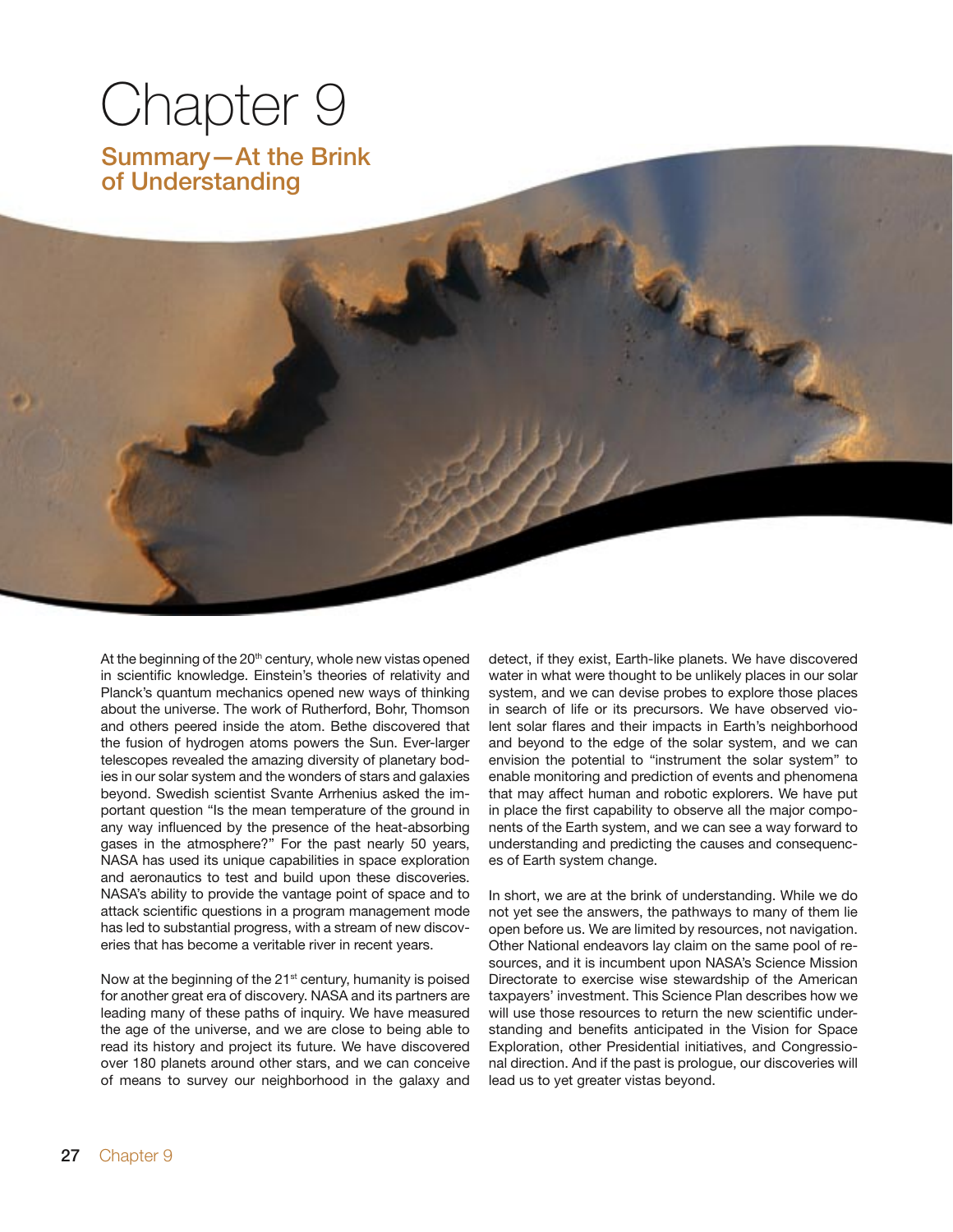# Chapter 9

Summary—At the Brink of Understanding

At the beginning of the 20<sup>th</sup> century, whole new vistas opened in scientific knowledge. Einstein's theories of relativity and Planck's quantum mechanics opened new ways of thinking about the universe. The work of Rutherford, Bohr, Thomson and others peered inside the atom. Bethe discovered that the fusion of hydrogen atoms powers the Sun. Ever-larger telescopes revealed the amazing diversity of planetary bodies in our solar system and the wonders of stars and galaxies beyond. Swedish scientist Svante Arrhenius asked the important question "Is the mean temperature of the ground in any way influenced by the presence of the heat-absorbing gases in the atmosphere?" For the past nearly 50 years, NASA has used its unique capabilities in space exploration and aeronautics to test and build upon these discoveries. NASA's ability to provide the vantage point of space and to attack scientific questions in a program management mode has led to substantial progress, with a stream of new discoveries that has become a veritable river in recent years.

Now at the beginning of the 21<sup>st</sup> century, humanity is poised for another great era of discovery. NASA and its partners are leading many of these paths of inquiry. We have measured the age of the universe, and we are close to being able to read its history and project its future. We have discovered over 180 planets around other stars, and we can conceive of means to survey our neighborhood in the galaxy and

detect, if they exist, Earth-like planets. We have discovered water in what were thought to be unlikely places in our solar system, and we can devise probes to explore those places in search of life or its precursors. We have observed violent solar flares and their impacts in Earth's neighborhood and beyond to the edge of the solar system, and we can envision the potential to "instrument the solar system" to enable monitoring and prediction of events and phenomena that may affect human and robotic explorers. We have put in place the first capability to observe all the major components of the Earth system, and we can see a way forward to understanding and predicting the causes and consequences of Earth system change.

In short, we are at the brink of understanding. While we do not yet see the answers, the pathways to many of them lie open before us. We are limited by resources, not navigation. Other National endeavors lay claim on the same pool of resources, and it is incumbent upon NASA's Science Mission Directorate to exercise wise stewardship of the American taxpayers' investment. This Science Plan describes how we will use those resources to return the new scientific understanding and benefits anticipated in the Vision for Space Exploration, other Presidential initiatives, and Congressional direction. And if the past is prologue, our discoveries will lead us to yet greater vistas beyond.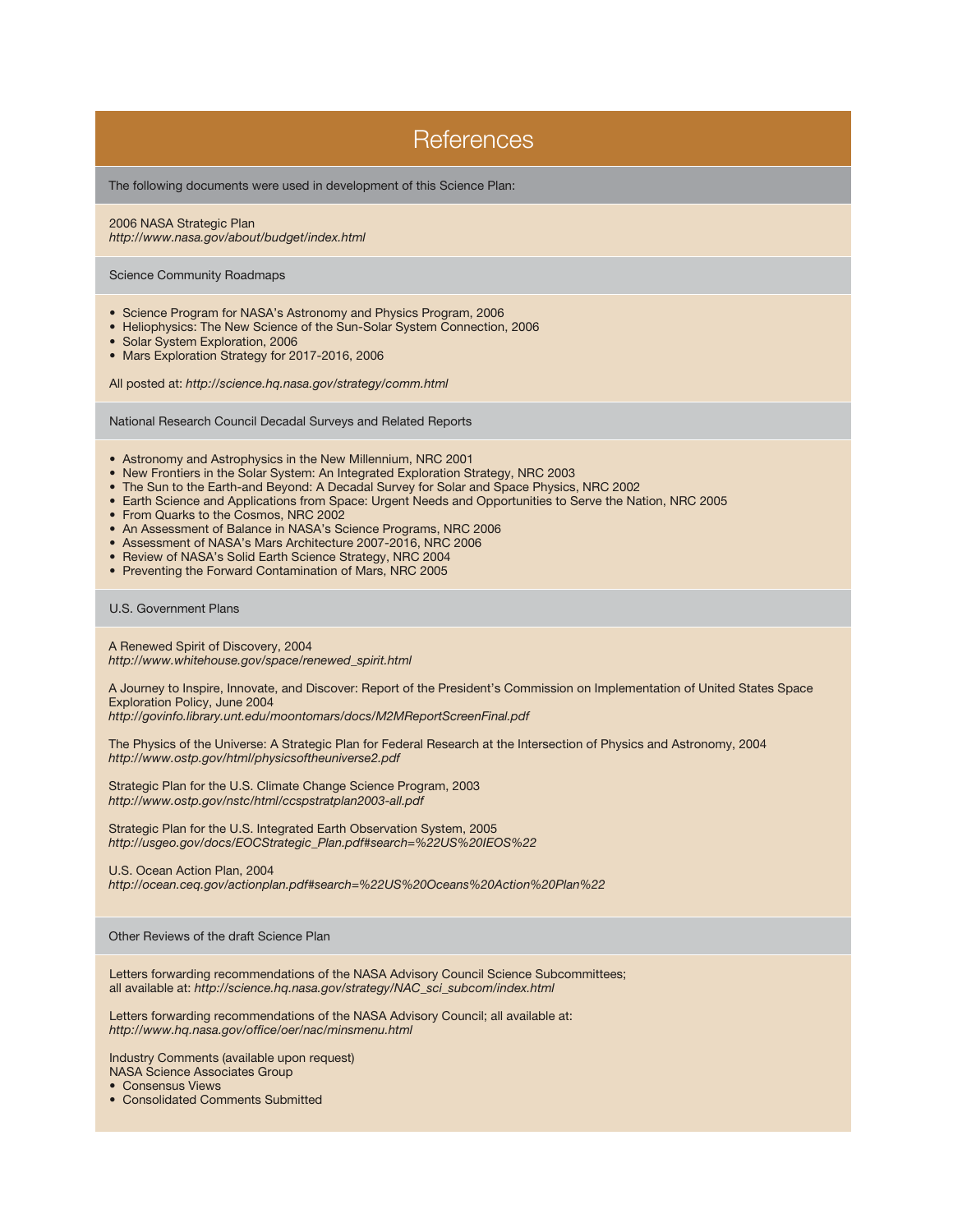### **References**

The following documents were used in development of this Science Plan:

2006 NASA Strategic Plan *http://www.nasa.gov/about/budget/index.html*

Science Community Roadmaps

- Science Program for NASA's Astronomy and Physics Program, 2006
- Heliophysics: The New Science of the Sun-Solar System Connection, 2006
- Solar System Exploration, 2006
- Mars Exploration Strategy for 2017-2016, 2006

All posted at: *http://science.hq.nasa.gov/strategy/comm.html*

National Research Council Decadal Surveys and Related Reports

- Astronomy and Astrophysics in the New Millennium, NRC 2001
- New Frontiers in the Solar System: An Integrated Exploration Strategy, NRC 2003
- The Sun to the Earth-and Beyond: A Decadal Survey for Solar and Space Physics, NRC 2002
- Earth Science and Applications from Space: Urgent Needs and Opportunities to Serve the Nation, NRC 2005
- From Quarks to the Cosmos, NRC 2002
- An Assessment of Balance in NASA's Science Programs, NRC 2006
- Assessment of NASA's Mars Architecture 2007-2016, NRC 2006
- Review of NASA's Solid Earth Science Strategy, NRC 2004
- Preventing the Forward Contamination of Mars, NRC 2005

#### U.S. Government Plans

A Renewed Spirit of Discovery, 2004 *http://www.whitehouse.gov/space/renewed\_spirit.html*

A Journey to Inspire, Innovate, and Discover: Report of the President's Commission on Implementation of United States Space Exploration Policy, June 2004

*http://govinfo.library.unt.edu/moontomars/docs/M2MReportScreenFinal.pdf*

The Physics of the Universe: A Strategic Plan for Federal Research at the Intersection of Physics and Astronomy, 2004 *http://www.ostp.gov/html/physicsoftheuniverse2.pdf*

Strategic Plan for the U.S. Climate Change Science Program, 2003 *http://www.ostp.gov/nstc/html/ccspstratplan2003-all.pdf*

Strategic Plan for the U.S. Integrated Earth Observation System, 2005 *http://usgeo.gov/docs/EOCStrategic\_Plan.pdf#search=%22US%20IEOS%22*

U.S. Ocean Action Plan, 2004

*http://ocean.ceq.gov/actionplan.pdf#search=%22US%20Oceans%20Action%20Plan%22*

Other Reviews of the draft Science Plan

Letters forwarding recommendations of the NASA Advisory Council Science Subcommittees; all available at: *http://science.hq.nasa.gov/strategy/NAC\_sci\_subcom/index.html*

Letters forwarding recommendations of the NASA Advisory Council; all available at: *http://www.hq.nasa.gov/office/oer/nac/minsmenu.html*

Industry Comments (available upon request) NASA Science Associates Group

- Consensus Views
- Consolidated Comments Submitted